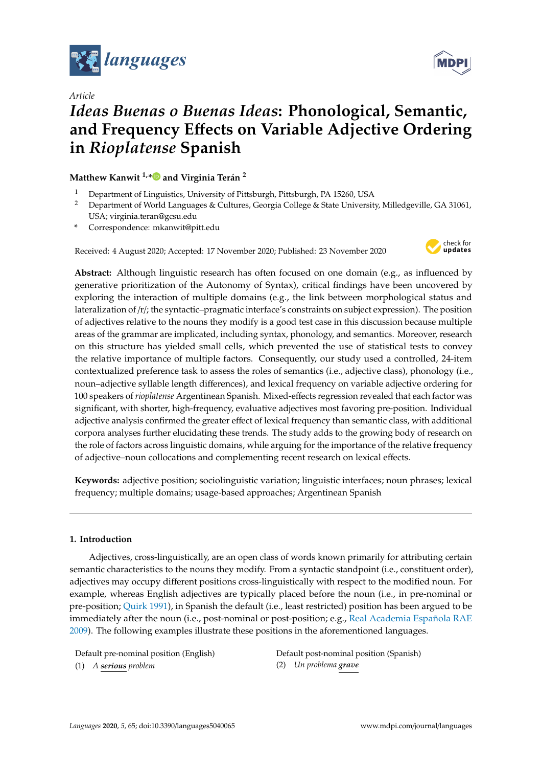

*Article*

# *Ideas Buenas o Buenas Ideas***: Phonological, Semantic, and Frequency E**ff**ects on Variable Adjective Ordering in** *Rioplatense* **Spanish**

**Matthew Kanwit 1,[\\*](https://orcid.org/0000-0002-7389-1903) and Virginia Terán 2**

- <sup>1</sup> Department of Linguistics, University of Pittsburgh, Pittsburgh, PA 15260, USA<br><sup>2</sup> Department of World Languages & Cultures, Georgia College & State University
- <sup>2</sup> Department of World Languages & Cultures, Georgia College & State University, Milledgeville, GA 31061, USA; virginia.teran@gcsu.edu
- **\*** Correspondence: mkanwit@pitt.edu

Received: 4 August 2020; Accepted: 17 November 2020; Published: 23 November 2020



**Abstract:** Although linguistic research has often focused on one domain (e.g., as influenced by generative prioritization of the Autonomy of Syntax), critical findings have been uncovered by exploring the interaction of multiple domains (e.g., the link between morphological status and lateralization of /r/; the syntactic–pragmatic interface's constraints on subject expression). The position of adjectives relative to the nouns they modify is a good test case in this discussion because multiple areas of the grammar are implicated, including syntax, phonology, and semantics. Moreover, research on this structure has yielded small cells, which prevented the use of statistical tests to convey the relative importance of multiple factors. Consequently, our study used a controlled, 24-item contextualized preference task to assess the roles of semantics (i.e., adjective class), phonology (i.e., noun–adjective syllable length differences), and lexical frequency on variable adjective ordering for 100 speakers of *rioplatense* Argentinean Spanish. Mixed-effects regression revealed that each factor was significant, with shorter, high-frequency, evaluative adjectives most favoring pre-position. Individual adjective analysis confirmed the greater effect of lexical frequency than semantic class, with additional corpora analyses further elucidating these trends. The study adds to the growing body of research on the role of factors across linguistic domains, while arguing for the importance of the relative frequency of adjective–noun collocations and complementing recent research on lexical effects.

**Keywords:** adjective position; sociolinguistic variation; linguistic interfaces; noun phrases; lexical frequency; multiple domains; usage-based approaches; Argentinean Spanish

## **1. Introduction**

Adjectives, cross-linguistically, are an open class of words known primarily for attributing certain semantic characteristics to the nouns they modify. From a syntactic standpoint (i.e., constituent order), adjectives may occupy different positions cross-linguistically with respect to the modified noun. For example, whereas English adjectives are typically placed before the noun (i.e., in pre-nominal or pre-position; [Quirk](#page-20-0) [1991\)](#page-20-0), in Spanish the default (i.e., least restricted) position has been argued to be immediately after the noun (i.e., post-nominal or post-position; e.g., [Real Academia Española RAE](#page-21-0) [2009\)](#page-21-0). The following examples illustrate these positions in the aforementioned languages.

(1) *A serious problem* (2) *Un problema grave*

Default pre-nominal position (English) Default post-nominal position (Spanish)

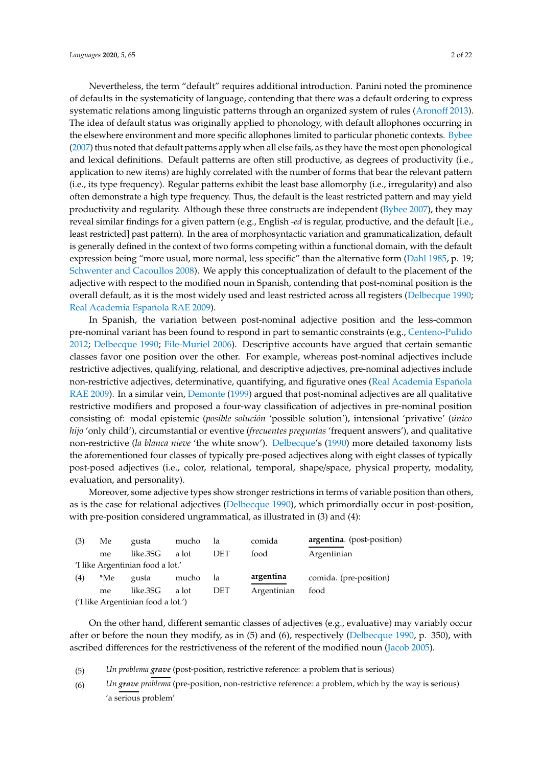Nevertheless, the term "default" requires additional introduction. Panini noted the prominence of defaults in the systematicity of language, contending that there was a default ordering to express systematic relations among linguistic patterns through an organized system of rules [\(Arono](#page-19-0)ff [2013\)](#page-19-0). The idea of default status was originally applied to phonology, with default allophones occurring in the elsewhere environment and more specific allophones limited to particular phonetic contexts. [Bybee](#page-19-1) [\(2007\)](#page-19-1) thus noted that default patterns apply when all else fails, as they have the most open phonological and lexical definitions. Default patterns are often still productive, as degrees of productivity (i.e., application to new items) are highly correlated with the number of forms that bear the relevant pattern (i.e., its type frequency). Regular patterns exhibit the least base allomorphy (i.e., irregularity) and also often demonstrate a high type frequency. Thus, the default is the least restricted pattern and may yield productivity and regularity. Although these three constructs are independent [\(Bybee](#page-19-1) [2007\)](#page-19-1), they may reveal similar findings for a given pattern (e.g., English -*ed* is regular, productive, and the default [i.e., least restricted] past pattern). In the area of morphosyntactic variation and grammaticalization, default is generally defined in the context of two forms competing within a functional domain, with the default expression being "more usual, more normal, less specific" than the alternative form [\(Dahl](#page-19-2) [1985,](#page-19-2) p. 19; [Schwenter and Cacoullos](#page-21-1) [2008\)](#page-21-1). We apply this conceptualization of default to the placement of the adjective with respect to the modified noun in Spanish, contending that post-nominal position is the overall default, as it is the most widely used and least restricted across all registers [\(Delbecque](#page-19-3) [1990;](#page-19-3) [Real Academia Española RAE](#page-21-0) [2009\)](#page-21-0).

In Spanish, the variation between post-nominal adjective position and the less-common pre-nominal variant has been found to respond in part to semantic constraints (e.g., [Centeno-Pulido](#page-19-4) [2012;](#page-19-4) [Delbecque](#page-19-3) [1990;](#page-19-3) [File-Muriel](#page-20-1) [2006\)](#page-20-1). Descriptive accounts have argued that certain semantic classes favor one position over the other. For example, whereas post-nominal adjectives include restrictive adjectives, qualifying, relational, and descriptive adjectives, pre-nominal adjectives include non-restrictive adjectives, determinative, quantifying, and figurative ones [\(Real Academia Española](#page-21-0) [RAE](#page-21-0) [2009\)](#page-21-0). In a similar vein, [Demonte](#page-20-2) [\(1999\)](#page-20-2) argued that post-nominal adjectives are all qualitative restrictive modifiers and proposed a four-way classification of adjectives in pre-nominal position consisting of: modal epistemic (*posible solución* 'possible solution'), intensional 'privative' (*único hijo* 'only child'), circumstantial or eventive (*frecuentes preguntas* 'frequent answers'), and qualitative non-restrictive (*la blanca nieve* 'the white snow'). [Delbecque'](#page-19-3)s [\(1990\)](#page-19-3) more detailed taxonomy lists the aforementioned four classes of typically pre-posed adjectives along with eight classes of typically post-posed adjectives (i.e., color, relational, temporal, shape/space, physical property, modality, evaluation, and personality).

Moreover, some adjective types show stronger restrictions in terms of variable position than others, as is the case for relational adjectives [\(Delbecque](#page-19-3) [1990\)](#page-19-3), which primordially occur in post-position, with pre-position considered ungrammatical, as illustrated in (3) and (4):

| (3) | Me  | gusta                              | mucho | la         | comida      | argentina. (post-position) |
|-----|-----|------------------------------------|-------|------------|-------------|----------------------------|
|     | me  | like.3SG                           | a lot | DET        | food        | Argentinian                |
|     |     | 'I like Argentinian food a lot.'   |       |            |             |                            |
| (4) | *Me | gusta                              | mucho | 1a         | argentina   | comida. (pre-position)     |
|     | me  | like.3SG                           | a lot | <b>DET</b> | Argentinian | food                       |
|     |     | ('I like Argentinian food a lot.') |       |            |             |                            |

On the other hand, different semantic classes of adjectives (e.g., evaluative) may variably occur after or before the noun they modify, as in (5) and (6), respectively [\(Delbecque](#page-19-3) [1990,](#page-19-3) p. 350), with ascribed differences for the restrictiveness of the referent of the modified noun [\(Jacob](#page-20-3) [2005\)](#page-20-3).

(5) *Un problema grave* (post-position, restrictive reference: a problem that is serious)

(6) *Un grave problema* (pre-position, non-restrictive reference: a problem, which by the way is serious) 'a serious problem'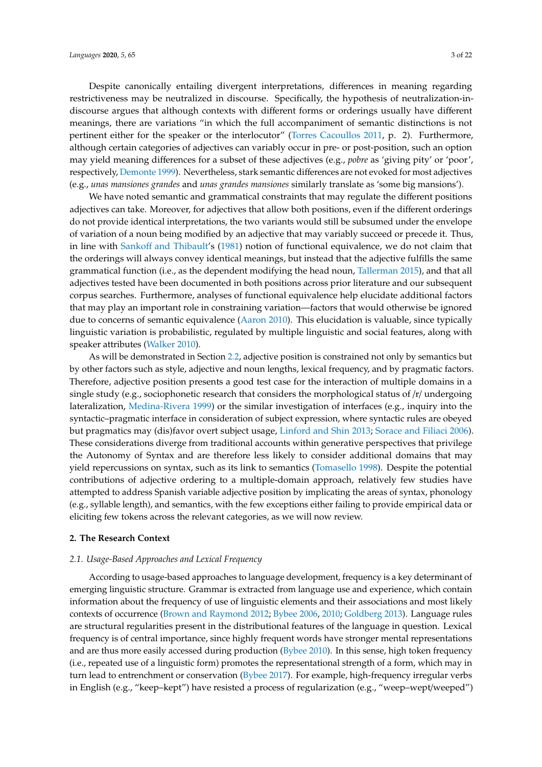Despite canonically entailing divergent interpretations, differences in meaning regarding restrictiveness may be neutralized in discourse. Specifically, the hypothesis of neutralization-indiscourse argues that although contexts with different forms or orderings usually have different meanings, there are variations "in which the full accompaniment of semantic distinctions is not pertinent either for the speaker or the interlocutor" [\(Torres Cacoullos](#page-21-2) [2011,](#page-21-2) p. 2). Furthermore, although certain categories of adjectives can variably occur in pre- or post-position, such an option may yield meaning differences for a subset of these adjectives (e.g., *pobre* as 'giving pity' or 'poor', respectively, [Demonte](#page-20-2) [1999\)](#page-20-2). Nevertheless, stark semantic differences are not evoked for most adjectives (e.g., *unas mansiones grandes* and *unas grandes mansiones* similarly translate as 'some big mansions').

We have noted semantic and grammatical constraints that may regulate the different positions adjectives can take. Moreover, for adjectives that allow both positions, even if the different orderings do not provide identical interpretations, the two variants would still be subsumed under the envelope of variation of a noun being modified by an adjective that may variably succeed or precede it. Thus, in line with Sankoff [and Thibault'](#page-21-3)s [\(1981\)](#page-21-3) notion of functional equivalence, we do not claim that the orderings will always convey identical meanings, but instead that the adjective fulfills the same grammatical function (i.e., as the dependent modifying the head noun, [Tallerman](#page-21-4) [2015\)](#page-21-4), and that all adjectives tested have been documented in both positions across prior literature and our subsequent corpus searches. Furthermore, analyses of functional equivalence help elucidate additional factors that may play an important role in constraining variation—factors that would otherwise be ignored due to concerns of semantic equivalence [\(Aaron](#page-19-5) [2010\)](#page-19-5). This elucidation is valuable, since typically linguistic variation is probabilistic, regulated by multiple linguistic and social features, along with speaker attributes [\(Walker](#page-21-5) [2010\)](#page-21-5).

As will be demonstrated in Section [2.2,](#page-4-0) adjective position is constrained not only by semantics but by other factors such as style, adjective and noun lengths, lexical frequency, and by pragmatic factors. Therefore, adjective position presents a good test case for the interaction of multiple domains in a single study (e.g., sociophonetic research that considers the morphological status of /r/ undergoing lateralization, [Medina-Rivera](#page-20-4) [1999\)](#page-20-4) or the similar investigation of interfaces (e.g., inquiry into the syntactic–pragmatic interface in consideration of subject expression, where syntactic rules are obeyed but pragmatics may (dis)favor overt subject usage, [Linford and Shin](#page-20-5) [2013;](#page-20-5) [Sorace and Filiaci](#page-21-6) [2006\)](#page-21-6). These considerations diverge from traditional accounts within generative perspectives that privilege the Autonomy of Syntax and are therefore less likely to consider additional domains that may yield repercussions on syntax, such as its link to semantics [\(Tomasello](#page-21-7) [1998\)](#page-21-7). Despite the potential contributions of adjective ordering to a multiple-domain approach, relatively few studies have attempted to address Spanish variable adjective position by implicating the areas of syntax, phonology (e.g., syllable length), and semantics, with the few exceptions either failing to provide empirical data or eliciting few tokens across the relevant categories, as we will now review.

## **2. The Research Context**

#### *2.1. Usage-Based Approaches and Lexical Frequency*

According to usage-based approaches to language development, frequency is a key determinant of emerging linguistic structure. Grammar is extracted from language use and experience, which contain information about the frequency of use of linguistic elements and their associations and most likely contexts of occurrence [\(Brown and Raymond](#page-19-6) [2012;](#page-19-6) [Bybee](#page-19-7) [2006,](#page-19-7) [2010;](#page-19-8) [Goldberg](#page-20-6) [2013\)](#page-20-6). Language rules are structural regularities present in the distributional features of the language in question. Lexical frequency is of central importance, since highly frequent words have stronger mental representations and are thus more easily accessed during production [\(Bybee](#page-19-8) [2010\)](#page-19-8). In this sense, high token frequency (i.e., repeated use of a linguistic form) promotes the representational strength of a form, which may in turn lead to entrenchment or conservation [\(Bybee](#page-19-9) [2017\)](#page-19-9). For example, high-frequency irregular verbs in English (e.g., "keep–kept") have resisted a process of regularization (e.g., "weep–wept/weeped")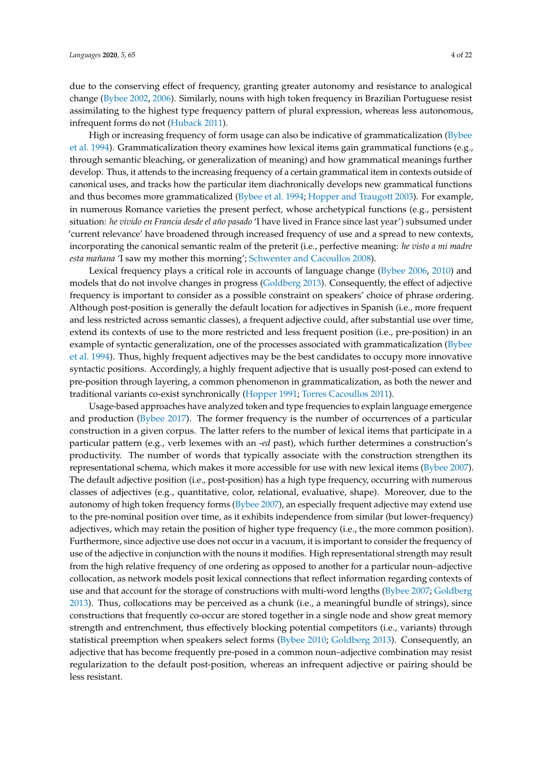due to the conserving effect of frequency, granting greater autonomy and resistance to analogical change [\(Bybee](#page-19-10) [2002,](#page-19-10) [2006\)](#page-19-7). Similarly, nouns with high token frequency in Brazilian Portuguese resist assimilating to the highest type frequency pattern of plural expression, whereas less autonomous, infrequent forms do not [\(Huback](#page-20-7) [2011\)](#page-20-7).

High or increasing frequency of form usage can also be indicative of grammaticalization [\(Bybee](#page-19-11) [et al.](#page-19-11) [1994\)](#page-19-11). Grammaticalization theory examines how lexical items gain grammatical functions (e.g., through semantic bleaching, or generalization of meaning) and how grammatical meanings further develop. Thus, it attends to the increasing frequency of a certain grammatical item in contexts outside of canonical uses, and tracks how the particular item diachronically develops new grammatical functions and thus becomes more grammaticalized [\(Bybee et al.](#page-19-11) [1994;](#page-19-11) [Hopper and Traugott](#page-20-8) [2003\)](#page-20-8). For example, in numerous Romance varieties the present perfect, whose archetypical functions (e.g., persistent situation: *he vivido en Francia desde el año pasado* 'I have lived in France since last year') subsumed under 'current relevance' have broadened through increased frequency of use and a spread to new contexts, incorporating the canonical semantic realm of the preterit (i.e., perfective meaning: *he visto a mi madre esta mañana* 'I saw my mother this morning'; [Schwenter and Cacoullos](#page-21-1) [2008\)](#page-21-1).

Lexical frequency plays a critical role in accounts of language change [\(Bybee](#page-19-7) [2006,](#page-19-7) [2010\)](#page-19-8) and models that do not involve changes in progress [\(Goldberg](#page-20-6) [2013\)](#page-20-6). Consequently, the effect of adjective frequency is important to consider as a possible constraint on speakers' choice of phrase ordering. Although post-position is generally the default location for adjectives in Spanish (i.e., more frequent and less restricted across semantic classes), a frequent adjective could, after substantial use over time, extend its contexts of use to the more restricted and less frequent position (i.e., pre-position) in an example of syntactic generalization, one of the processes associated with grammaticalization [\(Bybee](#page-19-11) [et al.](#page-19-11) [1994\)](#page-19-11). Thus, highly frequent adjectives may be the best candidates to occupy more innovative syntactic positions. Accordingly, a highly frequent adjective that is usually post-posed can extend to pre-position through layering, a common phenomenon in grammaticalization, as both the newer and traditional variants co-exist synchronically [\(Hopper](#page-20-9) [1991;](#page-20-9) [Torres Cacoullos](#page-21-2) [2011\)](#page-21-2).

Usage-based approaches have analyzed token and type frequencies to explain language emergence and production [\(Bybee](#page-19-9) [2017\)](#page-19-9). The former frequency is the number of occurrences of a particular construction in a given corpus. The latter refers to the number of lexical items that participate in a particular pattern (e.g., verb lexemes with an -*ed* past), which further determines a construction's productivity. The number of words that typically associate with the construction strengthen its representational schema, which makes it more accessible for use with new lexical items [\(Bybee](#page-19-1) [2007\)](#page-19-1). The default adjective position (i.e., post-position) has a high type frequency, occurring with numerous classes of adjectives (e.g., quantitative, color, relational, evaluative, shape). Moreover, due to the autonomy of high token frequency forms [\(Bybee](#page-19-1) [2007\)](#page-19-1), an especially frequent adjective may extend use to the pre-nominal position over time, as it exhibits independence from similar (but lower-frequency) adjectives, which may retain the position of higher type frequency (i.e., the more common position). Furthermore, since adjective use does not occur in a vacuum, it is important to consider the frequency of use of the adjective in conjunction with the nouns it modifies. High representational strength may result from the high relative frequency of one ordering as opposed to another for a particular noun–adjective collocation, as network models posit lexical connections that reflect information regarding contexts of use and that account for the storage of constructions with multi-word lengths [\(Bybee](#page-19-1) [2007;](#page-19-1) [Goldberg](#page-20-6) [2013\)](#page-20-6). Thus, collocations may be perceived as a chunk (i.e., a meaningful bundle of strings), since constructions that frequently co-occur are stored together in a single node and show great memory strength and entrenchment, thus effectively blocking potential competitors (i.e., variants) through statistical preemption when speakers select forms [\(Bybee](#page-19-8) [2010;](#page-19-8) [Goldberg](#page-20-6) [2013\)](#page-20-6). Consequently, an adjective that has become frequently pre-posed in a common noun–adjective combination may resist regularization to the default post-position, whereas an infrequent adjective or pairing should be less resistant.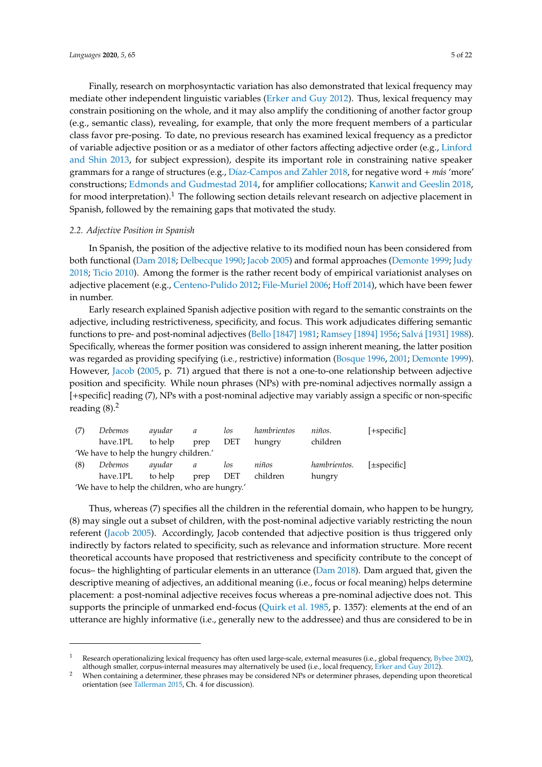Finally, research on morphosyntactic variation has also demonstrated that lexical frequency may mediate other independent linguistic variables [\(Erker and Guy](#page-20-10) [2012\)](#page-20-10). Thus, lexical frequency may constrain positioning on the whole, and it may also amplify the conditioning of another factor group (e.g., semantic class), revealing, for example, that only the more frequent members of a particular class favor pre-posing. To date, no previous research has examined lexical frequency as a predictor of variable adjective position or as a mediator of other factors affecting adjective order (e.g., [Linford](#page-20-5) [and Shin](#page-20-5) [2013,](#page-20-5) for subject expression), despite its important role in constraining native speaker grammars for a range of structures (e.g., Dí[az-Campos and Zahler](#page-20-11) [2018,](#page-20-11) for negative word + *más* 'more' constructions; [Edmonds and Gudmestad](#page-20-12) [2014,](#page-20-12) for amplifier collocations; [Kanwit and Geeslin](#page-20-13) [2018,](#page-20-13) for mood interpretation).<sup>1</sup> The following section details relevant research on adjective placement in Spanish, followed by the remaining gaps that motivated the study.

## <span id="page-4-0"></span>*2.2. Adjective Position in Spanish*

In Spanish, the position of the adjective relative to its modified noun has been considered from both functional [\(Dam](#page-19-12) [2018;](#page-19-12) [Delbecque](#page-19-3) [1990;](#page-19-3) [Jacob](#page-20-3) [2005\)](#page-20-3) and formal approaches [\(Demonte](#page-20-2) [1999;](#page-20-2) [Judy](#page-20-14) [2018;](#page-20-14) [Ticio](#page-21-8) [2010\)](#page-21-8). Among the former is the rather recent body of empirical variationist analyses on adjective placement (e.g., [Centeno-Pulido](#page-19-4) [2012;](#page-19-4) [File-Muriel](#page-20-1) [2006;](#page-20-1) [Ho](#page-20-15)ff [2014\)](#page-20-15), which have been fewer in number.

Early research explained Spanish adjective position with regard to the semantic constraints on the adjective, including restrictiveness, specificity, and focus. This work adjudicates differing semantic functions to pre- and post-nominal adjectives [\(Bello \[1847\]](#page-19-13) [1981;](#page-19-13) [Ramsey \[1894\]](#page-21-9) [1956;](#page-21-9) Salvá [\[1931\]](#page-21-10) [1988\)](#page-21-10). Specifically, whereas the former position was considered to assign inherent meaning, the latter position was regarded as providing specifying (i.e., restrictive) information [\(Bosque](#page-19-14) [1996,](#page-19-14) [2001;](#page-19-15) [Demonte](#page-20-2) [1999\)](#page-20-2). However, [Jacob](#page-20-3) [\(2005,](#page-20-3) p. 71) argued that there is not a one-to-one relationship between adjective position and specificity. While noun phrases (NPs) with pre-nominal adjectives normally assign a [+specific] reading (7), NPs with a post-nominal adjective may variably assign a specific or non-specific reading  $(8)$ .<sup>2</sup>

| (7) | <i>Debemos</i>                                  | ayudar  | a    | los        | hambrientos | niños.       | $[+specific]$    |  |  |  |  |
|-----|-------------------------------------------------|---------|------|------------|-------------|--------------|------------------|--|--|--|--|
|     | have.1PL                                        | to help | prep | <b>DET</b> | hungry      | children     |                  |  |  |  |  |
|     | 'We have to help the hungry children.'          |         |      |            |             |              |                  |  |  |  |  |
| (8) | Debemos                                         | ayudar  | a    | los        | niños       | hambrientos. | $[\pm specific]$ |  |  |  |  |
|     | have.1PL                                        | to help | prep | <b>DET</b> | children    | hungry       |                  |  |  |  |  |
|     | 'We have to help the children, who are hungry.' |         |      |            |             |              |                  |  |  |  |  |

Thus, whereas (7) specifies all the children in the referential domain, who happen to be hungry, (8) may single out a subset of children, with the post-nominal adjective variably restricting the noun referent [\(Jacob](#page-20-3) [2005\)](#page-20-3). Accordingly, Jacob contended that adjective position is thus triggered only indirectly by factors related to specificity, such as relevance and information structure. More recent theoretical accounts have proposed that restrictiveness and specificity contribute to the concept of focus– the highlighting of particular elements in an utterance [\(Dam](#page-19-12) [2018\)](#page-19-12). Dam argued that, given the descriptive meaning of adjectives, an additional meaning (i.e., focus or focal meaning) helps determine placement: a post-nominal adjective receives focus whereas a pre-nominal adjective does not. This supports the principle of unmarked end-focus [\(Quirk et al.](#page-21-11) [1985,](#page-21-11) p. 1357): elements at the end of an utterance are highly informative (i.e., generally new to the addressee) and thus are considered to be in

Research operationalizing lexical frequency has often used large-scale, external measures (i.e., global frequency, [Bybee](#page-19-10) [2002\)](#page-19-10), although smaller, corpus-internal measures may alternatively be used (i.e., local frequency, [Erker and Guy](#page-20-10) [2012\)](#page-20-10).

<sup>2</sup> When containing a determiner, these phrases may be considered NPs or determiner phrases, depending upon theoretical orientation (see [Tallerman](#page-21-4) [2015,](#page-21-4) Ch. 4 for discussion).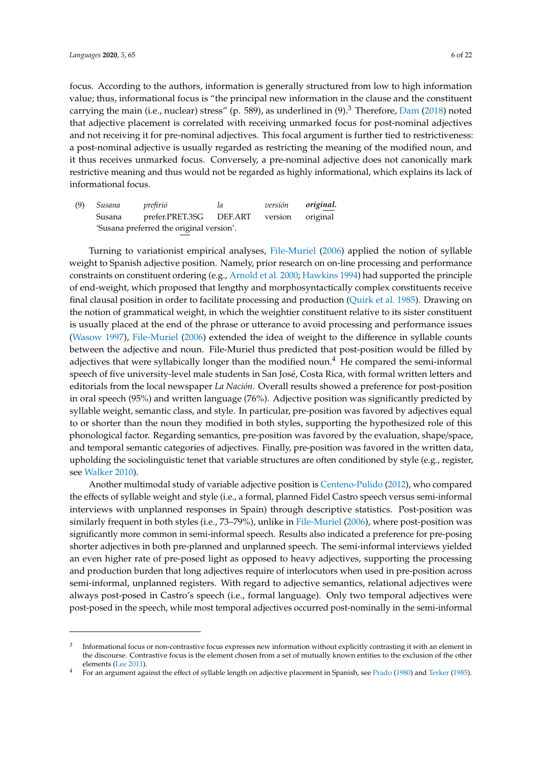focus. According to the authors, information is generally structured from low to high information value; thus, informational focus is "the principal new information in the clause and the constituent carrying the main (i.e., nuclear) stress" (p. 589), as underlined in (9).<sup>3</sup> Therefore, [Dam](#page-19-12) [\(2018\)](#page-19-12) noted that adjective placement is correlated with receiving unmarked focus for post-nominal adjectives and not receiving it for pre-nominal adjectives. This focal argument is further tied to restrictiveness: a post-nominal adjective is usually regarded as restricting the meaning of the modified noun, and it thus receives unmarked focus. Conversely, a pre-nominal adjective does not canonically mark restrictive meaning and thus would not be regarded as highly informational, which explains its lack of informational focus.

(9) *Susana prefirió la versión original.* Susana prefer.PRET.3SG DEF.ART version original 'Susana preferred the original version'.

Turning to variationist empirical analyses, [File-Muriel](#page-20-1) [\(2006\)](#page-20-1) applied the notion of syllable weight to Spanish adjective position. Namely, prior research on on-line processing and performance constraints on constituent ordering (e.g., [Arnold et al.](#page-19-16) [2000;](#page-19-16) [Hawkins](#page-20-16) [1994\)](#page-20-16) had supported the principle of end-weight, which proposed that lengthy and morphosyntactically complex constituents receive final clausal position in order to facilitate processing and production [\(Quirk et al.](#page-21-11) [1985\)](#page-21-11). Drawing on the notion of grammatical weight, in which the weightier constituent relative to its sister constituent is usually placed at the end of the phrase or utterance to avoid processing and performance issues [\(Wasow](#page-21-12) [1997\)](#page-21-12), [File-Muriel](#page-20-1) [\(2006\)](#page-20-1) extended the idea of weight to the difference in syllable counts between the adjective and noun. File-Muriel thus predicted that post-position would be filled by adjectives that were syllabically longer than the modified noun.<sup>4</sup> He compared the semi-informal speech of five university-level male students in San José, Costa Rica, with formal written letters and editorials from the local newspaper *La Nación*. Overall results showed a preference for post-position in oral speech (95%) and written language (76%). Adjective position was significantly predicted by syllable weight, semantic class, and style. In particular, pre-position was favored by adjectives equal to or shorter than the noun they modified in both styles, supporting the hypothesized role of this phonological factor. Regarding semantics, pre-position was favored by the evaluation, shape/space, and temporal semantic categories of adjectives. Finally, pre-position was favored in the written data, upholding the sociolinguistic tenet that variable structures are often conditioned by style (e.g., register, see [Walker](#page-21-5) [2010\)](#page-21-5).

Another multimodal study of variable adjective position is [Centeno-Pulido](#page-19-4) [\(2012\)](#page-19-4), who compared the effects of syllable weight and style (i.e., a formal, planned Fidel Castro speech versus semi-informal interviews with unplanned responses in Spain) through descriptive statistics. Post-position was similarly frequent in both styles (i.e., 73–79%), unlike in [File-Muriel](#page-20-1) [\(2006\)](#page-20-1), where post-position was significantly more common in semi-informal speech. Results also indicated a preference for pre-posing shorter adjectives in both pre-planned and unplanned speech. The semi-informal interviews yielded an even higher rate of pre-posed light as opposed to heavy adjectives, supporting the processing and production burden that long adjectives require of interlocutors when used in pre-position across semi-informal, unplanned registers. With regard to adjective semantics, relational adjectives were always post-posed in Castro's speech (i.e., formal language). Only two temporal adjectives were post-posed in the speech, while most temporal adjectives occurred post-nominally in the semi-informal

<sup>3</sup> Informational focus or non-contrastive focus expresses new information without explicitly contrasting it with an element in the discourse. Contrastive focus is the element chosen from a set of mutually known entities to the exclusion of the other elements [\(Lee](#page-20-17) [2011\)](#page-20-17).

<sup>4</sup> For an argument against the effect of syllable length on adjective placement in Spanish, see [Prado](#page-20-18) [\(1980\)](#page-20-18) and [Terker](#page-21-13) [\(1985\)](#page-21-13).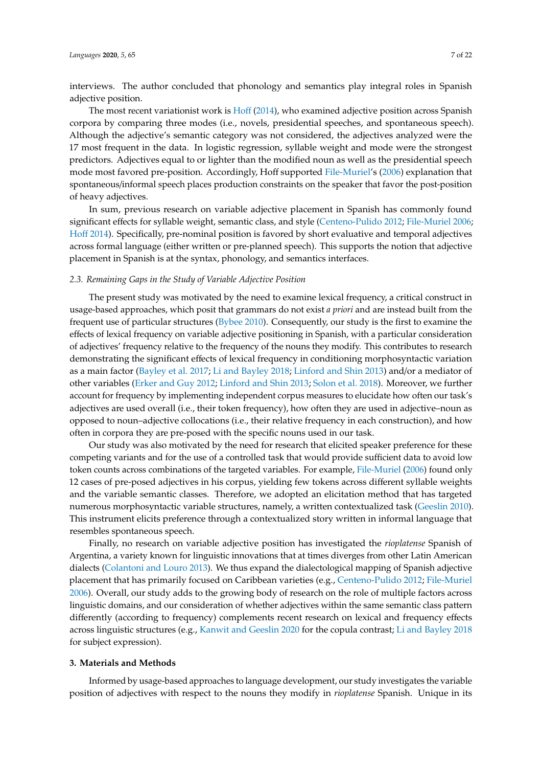interviews. The author concluded that phonology and semantics play integral roles in Spanish adjective position.

The most recent variationist work is [Ho](#page-20-15)ff [\(2014\)](#page-20-15), who examined adjective position across Spanish corpora by comparing three modes (i.e., novels, presidential speeches, and spontaneous speech). Although the adjective's semantic category was not considered, the adjectives analyzed were the 17 most frequent in the data. In logistic regression, syllable weight and mode were the strongest predictors. Adjectives equal to or lighter than the modified noun as well as the presidential speech mode most favored pre-position. Accordingly, Hoff supported [File-Muriel'](#page-20-1)s [\(2006\)](#page-20-1) explanation that spontaneous/informal speech places production constraints on the speaker that favor the post-position of heavy adjectives.

In sum, previous research on variable adjective placement in Spanish has commonly found significant effects for syllable weight, semantic class, and style [\(Centeno-Pulido](#page-19-4) [2012;](#page-19-4) [File-Muriel](#page-20-1) [2006;](#page-20-1) [Ho](#page-20-15)ff [2014\)](#page-20-15). Specifically, pre-nominal position is favored by short evaluative and temporal adjectives across formal language (either written or pre-planned speech). This supports the notion that adjective placement in Spanish is at the syntax, phonology, and semantics interfaces.

#### *2.3. Remaining Gaps in the Study of Variable Adjective Position*

The present study was motivated by the need to examine lexical frequency, a critical construct in usage-based approaches, which posit that grammars do not exist *a priori* and are instead built from the frequent use of particular structures [\(Bybee](#page-19-8) [2010\)](#page-19-8). Consequently, our study is the first to examine the effects of lexical frequency on variable adjective positioning in Spanish, with a particular consideration of adjectives' frequency relative to the frequency of the nouns they modify. This contributes to research demonstrating the significant effects of lexical frequency in conditioning morphosyntactic variation as a main factor [\(Bayley et al.](#page-19-17) [2017;](#page-19-17) [Li and Bayley](#page-20-19) [2018;](#page-20-19) [Linford and Shin](#page-20-5) [2013\)](#page-20-5) and/or a mediator of other variables [\(Erker and Guy](#page-20-10) [2012;](#page-20-10) [Linford and Shin](#page-20-5) [2013;](#page-20-5) [Solon et al.](#page-21-14) [2018\)](#page-21-14). Moreover, we further account for frequency by implementing independent corpus measures to elucidate how often our task's adjectives are used overall (i.e., their token frequency), how often they are used in adjective–noun as opposed to noun–adjective collocations (i.e., their relative frequency in each construction), and how often in corpora they are pre-posed with the specific nouns used in our task.

Our study was also motivated by the need for research that elicited speaker preference for these competing variants and for the use of a controlled task that would provide sufficient data to avoid low token counts across combinations of the targeted variables. For example, [File-Muriel](#page-20-1) [\(2006\)](#page-20-1) found only 12 cases of pre-posed adjectives in his corpus, yielding few tokens across different syllable weights and the variable semantic classes. Therefore, we adopted an elicitation method that has targeted numerous morphosyntactic variable structures, namely, a written contextualized task [\(Geeslin](#page-20-20) [2010\)](#page-20-20). This instrument elicits preference through a contextualized story written in informal language that resembles spontaneous speech.

Finally, no research on variable adjective position has investigated the *rioplatense* Spanish of Argentina, a variety known for linguistic innovations that at times diverges from other Latin American dialects [\(Colantoni and Louro](#page-19-18) [2013\)](#page-19-18). We thus expand the dialectological mapping of Spanish adjective placement that has primarily focused on Caribbean varieties (e.g., [Centeno-Pulido](#page-19-4) [2012;](#page-19-4) [File-Muriel](#page-20-1) [2006\)](#page-20-1). Overall, our study adds to the growing body of research on the role of multiple factors across linguistic domains, and our consideration of whether adjectives within the same semantic class pattern differently (according to frequency) complements recent research on lexical and frequency effects across linguistic structures (e.g., [Kanwit and Geeslin](#page-20-21) [2020](#page-20-21) for the copula contrast; [Li and Bayley](#page-20-19) [2018](#page-20-19) for subject expression).

## **3. Materials and Methods**

Informed by usage-based approaches to language development, our study investigates the variable position of adjectives with respect to the nouns they modify in *rioplatense* Spanish. Unique in its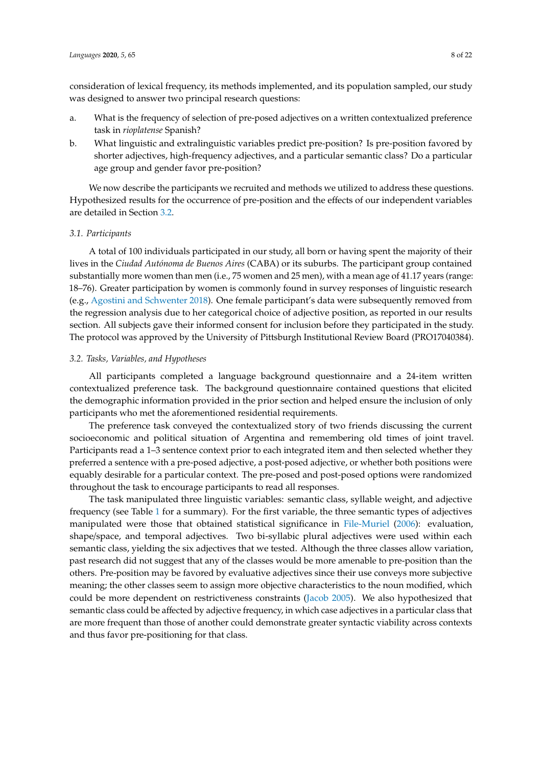consideration of lexical frequency, its methods implemented, and its population sampled, our study was designed to answer two principal research questions:

- a. What is the frequency of selection of pre-posed adjectives on a written contextualized preference task in *rioplatense* Spanish?
- b. What linguistic and extralinguistic variables predict pre-position? Is pre-position favored by shorter adjectives, high-frequency adjectives, and a particular semantic class? Do a particular age group and gender favor pre-position?

We now describe the participants we recruited and methods we utilized to address these questions. Hypothesized results for the occurrence of pre-position and the effects of our independent variables are detailed in Section [3.2.](#page-7-0)

## *3.1. Participants*

A total of 100 individuals participated in our study, all born or having spent the majority of their lives in the *Ciudad Autónoma de Buenos Aires* (CABA) or its suburbs. The participant group contained substantially more women than men (i.e., 75 women and 25 men), with a mean age of 41.17 years (range: 18–76). Greater participation by women is commonly found in survey responses of linguistic research (e.g., [Agostini and Schwenter](#page-19-19) [2018\)](#page-19-19). One female participant's data were subsequently removed from the regression analysis due to her categorical choice of adjective position, as reported in our results section. All subjects gave their informed consent for inclusion before they participated in the study. The protocol was approved by the University of Pittsburgh Institutional Review Board (PRO17040384).

## <span id="page-7-0"></span>*3.2. Tasks, Variables, and Hypotheses*

All participants completed a language background questionnaire and a 24-item written contextualized preference task. The background questionnaire contained questions that elicited the demographic information provided in the prior section and helped ensure the inclusion of only participants who met the aforementioned residential requirements.

The preference task conveyed the contextualized story of two friends discussing the current socioeconomic and political situation of Argentina and remembering old times of joint travel. Participants read a 1–3 sentence context prior to each integrated item and then selected whether they preferred a sentence with a pre-posed adjective, a post-posed adjective, or whether both positions were equably desirable for a particular context. The pre-posed and post-posed options were randomized throughout the task to encourage participants to read all responses.

The task manipulated three linguistic variables: semantic class, syllable weight, and adjective frequency (see Table [1](#page-8-0) for a summary). For the first variable, the three semantic types of adjectives manipulated were those that obtained statistical significance in [File-Muriel](#page-20-1) [\(2006\)](#page-20-1): evaluation, shape/space, and temporal adjectives. Two bi-syllabic plural adjectives were used within each semantic class, yielding the six adjectives that we tested. Although the three classes allow variation, past research did not suggest that any of the classes would be more amenable to pre-position than the others. Pre-position may be favored by evaluative adjectives since their use conveys more subjective meaning; the other classes seem to assign more objective characteristics to the noun modified, which could be more dependent on restrictiveness constraints [\(Jacob](#page-20-3) [2005\)](#page-20-3). We also hypothesized that semantic class could be affected by adjective frequency, in which case adjectives in a particular class that are more frequent than those of another could demonstrate greater syntactic viability across contexts and thus favor pre-positioning for that class.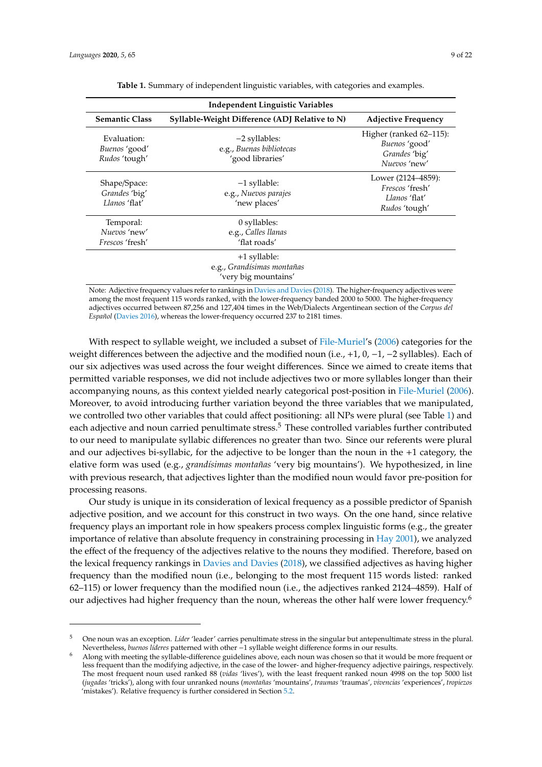|  | 9 of 2 |  |
|--|--------|--|
|  |        |  |

<span id="page-8-0"></span>

| <b>Independent Linguistic Variables</b>             |                                                                    |                                                                                |  |  |  |  |  |  |  |
|-----------------------------------------------------|--------------------------------------------------------------------|--------------------------------------------------------------------------------|--|--|--|--|--|--|--|
| <b>Semantic Class</b>                               | Syllable-Weight Difference (ADJ Relative to N)                     | <b>Adjective Frequency</b>                                                     |  |  |  |  |  |  |  |
| Evaluation:<br>Buenos 'good'<br>Rudos 'tough'       | $-2$ syllables:<br>e.g., Buenas bibliotecas<br>'good libraries'    | Higher (ranked 62–115):<br>Buenos 'good'<br>Grandes 'big'<br>Nuevos 'new'      |  |  |  |  |  |  |  |
| Shape/Space:<br>Grandes 'big'<br>Llanos 'flat'      | $-1$ syllable:<br>e.g., Nuevos parajes<br>'new places'             | Lower (2124–4859):<br><i>Frescos</i> 'fresh'<br>Llanos 'flat'<br>Rudos 'tough' |  |  |  |  |  |  |  |
| Temporal:<br>Nuevos 'new'<br><i>Frescos</i> 'fresh' | 0 syllables:<br>e.g., Calles llanas<br>'flat roads'                |                                                                                |  |  |  |  |  |  |  |
|                                                     | +1 syllable:<br>e.g., Grandísimas montañas<br>'very big mountains' |                                                                                |  |  |  |  |  |  |  |

**Table 1.** Summary of independent linguistic variables, with categories and examples.

Note: Adjective frequency values refer to rankings in [Davies and Davies](#page-19-20) [\(2018\)](#page-19-20). The higher-frequency adjectives were among the most frequent 115 words ranked, with the lower-frequency banded 2000 to 5000. The higher-frequency adjectives occurred between 87,256 and 127,404 times in the Web/Dialects Argentinean section of the *Corpus del Español* [\(Davies](#page-19-21) [2016\)](#page-19-21), whereas the lower-frequency occurred 237 to 2181 times.

With respect to syllable weight, we included a subset of [File-Muriel'](#page-20-1)s [\(2006\)](#page-20-1) categories for the weight differences between the adjective and the modified noun (i.e., +1, 0, −1, −2 syllables). Each of our six adjectives was used across the four weight differences. Since we aimed to create items that permitted variable responses, we did not include adjectives two or more syllables longer than their accompanying nouns, as this context yielded nearly categorical post-position in [File-Muriel](#page-20-1) [\(2006\)](#page-20-1). Moreover, to avoid introducing further variation beyond the three variables that we manipulated, we controlled two other variables that could affect positioning: all NPs were plural (see Table [1\)](#page-8-0) and each adjective and noun carried penultimate stress.<sup>5</sup> These controlled variables further contributed to our need to manipulate syllabic differences no greater than two. Since our referents were plural and our adjectives bi-syllabic, for the adjective to be longer than the noun in the +1 category, the elative form was used (e.g., *grandísimas montañas* 'very big mountains'). We hypothesized, in line with previous research, that adjectives lighter than the modified noun would favor pre-position for processing reasons.

Our study is unique in its consideration of lexical frequency as a possible predictor of Spanish adjective position, and we account for this construct in two ways. On the one hand, since relative frequency plays an important role in how speakers process complex linguistic forms (e.g., the greater importance of relative than absolute frequency in constraining processing in [Hay](#page-20-22) [2001\)](#page-20-22), we analyzed the effect of the frequency of the adjectives relative to the nouns they modified. Therefore, based on the lexical frequency rankings in [Davies and Davies](#page-19-20) [\(2018\)](#page-19-20), we classified adjectives as having higher frequency than the modified noun (i.e., belonging to the most frequent 115 words listed: ranked 62–115) or lower frequency than the modified noun (i.e., the adjectives ranked 2124–4859). Half of our adjectives had higher frequency than the noun, whereas the other half were lower frequency.<sup>6</sup>

<sup>5</sup> One noun was an exception. *Líder* 'leader' carries penultimate stress in the singular but antepenultimate stress in the plural. Nevertheless, *buenos líderes* patterned with other −1 syllable weight difference forms in our results.

<sup>6</sup> Along with meeting the syllable-difference guidelines above, each noun was chosen so that it would be more frequent or less frequent than the modifying adjective, in the case of the lower- and higher-frequency adjective pairings, respectively. The most frequent noun used ranked 88 (*vidas* 'lives'), with the least frequent ranked noun 4998 on the top 5000 list (*jugadas* 'tricks'), along with four unranked nouns (*montañas* 'mountains', *traumas* 'traumas', *vivencias* 'experiences', *tropiezos* 'mistakes'). Relative frequency is further considered in Section [5.2.](#page-15-0)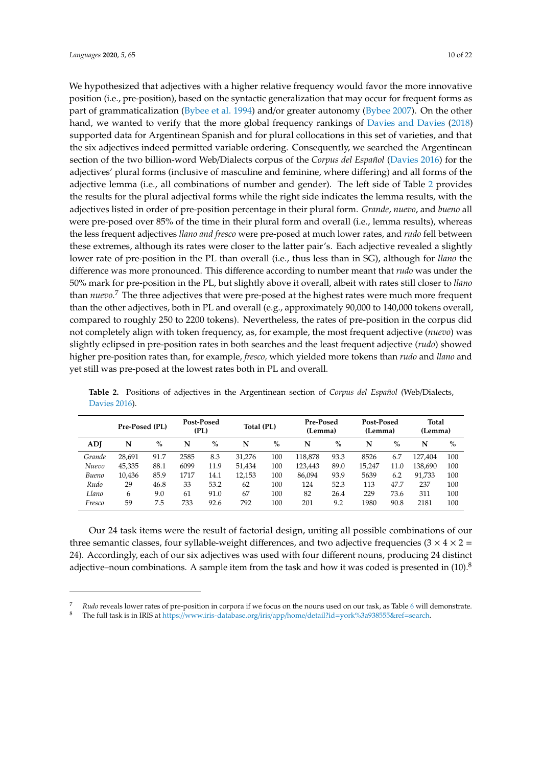We hypothesized that adjectives with a higher relative frequency would favor the more innovative position (i.e., pre-position), based on the syntactic generalization that may occur for frequent forms as part of grammaticalization [\(Bybee et al.](#page-19-11) [1994\)](#page-19-11) and/or greater autonomy [\(Bybee](#page-19-1) [2007\)](#page-19-1). On the other hand, we wanted to verify that the more global frequency rankings of [Davies and Davies](#page-19-20) [\(2018\)](#page-19-20) supported data for Argentinean Spanish and for plural collocations in this set of varieties, and that the six adjectives indeed permitted variable ordering. Consequently, we searched the Argentinean section of the two billion-word Web/Dialects corpus of the *Corpus del Español* [\(Davies](#page-19-21) [2016\)](#page-19-21) for the adjectives' plural forms (inclusive of masculine and feminine, where differing) and all forms of the adjective lemma (i.e., all combinations of number and gender). The left side of Table [2](#page-9-0) provides the results for the plural adjectival forms while the right side indicates the lemma results, with the adjectives listed in order of pre-position percentage in their plural form. *Grande*, *nuevo*, and *bueno* all were pre-posed over 85% of the time in their plural form and overall (i.e., lemma results), whereas the less frequent adjectives *llano and fresco* were pre-posed at much lower rates, and *rudo* fell between these extremes, although its rates were closer to the latter pair's. Each adjective revealed a slightly lower rate of pre-position in the PL than overall (i.e., thus less than in SG), although for *llano* the difference was more pronounced. This difference according to number meant that *rudo* was under the 50% mark for pre-position in the PL, but slightly above it overall, albeit with rates still closer to *llano* than *nuevo.*<sup>7</sup> The three adjectives that were pre-posed at the highest rates were much more frequent than the other adjectives, both in PL and overall (e.g., approximately 90,000 to 140,000 tokens overall, compared to roughly 250 to 2200 tokens). Nevertheless, the rates of pre-position in the corpus did not completely align with token frequency, as, for example, the most frequent adjective (*nuevo*) was slightly eclipsed in pre-position rates in both searches and the least frequent adjective (*rudo*) showed higher pre-position rates than, for example, *fresco,* which yielded more tokens than *rudo* and *llano* and yet still was pre-posed at the lowest rates both in PL and overall.

|        | Pre-Posed (PL) |      | (PL) | Post-Posed | Total (PL) |      | <b>Pre-Posed</b><br>(Lemma) |      | Post-Posed<br>(Lemma) |      | Total<br>(Lemma) |      |
|--------|----------------|------|------|------------|------------|------|-----------------------------|------|-----------------------|------|------------------|------|
| ADI    | N              | $\%$ | N    | $\%$       | N          | $\%$ | N                           | $\%$ | N                     | $\%$ | N                | $\%$ |
| Grande | 28,691         | 91.7 | 2585 | 8.3        | 31,276     | 100  | 118,878                     | 93.3 | 8526                  | 6.7  | 127.404          | 100  |
| Nuevo  | 45,335         | 88.1 | 6099 | 11.9       | 51.434     | 100  | 123,443                     | 89.0 | 15.247                | 11.0 | 138,690          | 100  |
| Bueno  | 10,436         | 85.9 | 1717 | 14.1       | 12,153     | 100  | 86.094                      | 93.9 | 5639                  | 6.2  | 91.733           | 100  |
| Rudo   | 29             | 46.8 | 33   | 53.2       | 62         | 100  | 124                         | 52.3 | 113                   | 47.7 | 237              | 100  |
| Llano  | 6              | 9.0  | 61   | 91.0       | 67         | 100  | 82                          | 26.4 | 229                   | 73.6 | 311              | 100  |
| Fresco | 59             | 7.5  | 733  | 92.6       | 792        | 100  | 201                         | 9.2  | 1980                  | 90.8 | 2181             | 100  |

<span id="page-9-0"></span>**Table 2.** Positions of adjectives in the Argentinean section of *Corpus del Español* (Web/Dialects, [Davies](#page-19-21) [2016\)](#page-19-21).

Our 24 task items were the result of factorial design, uniting all possible combinations of our three semantic classes, four syllable-weight differences, and two adjective frequencies ( $3 \times 4 \times 2 =$ 24). Accordingly, each of our six adjectives was used with four different nouns, producing 24 distinct adjective–noun combinations. A sample item from the task and how it was coded is presented in  $(10)^8$ 

<sup>7</sup> *Rudo* reveals lower rates of pre-position in corpora if we focus on the nouns used on our task, as Table [6](#page-13-0) will demonstrate.

<sup>8</sup> The full task is in IRIS at https://[www.iris-database.org](https://www.iris-database.org/iris/app/home/detail?id=york%3a938555&ref=search)/iris/app/home/detail?id=york%3a938555&ref=search.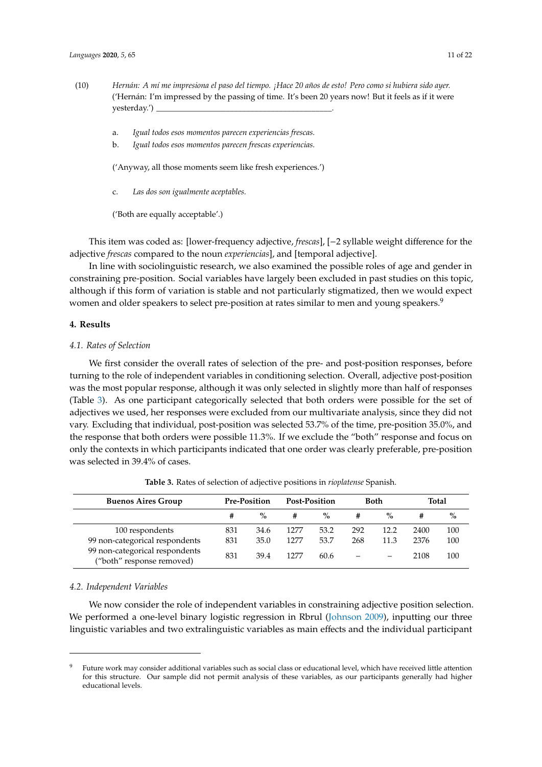- (10) *Hernán: A mí me impresiona el paso del tiempo. ¡Hace 20 años de esto! Pero como si hubiera sido ayer.* ('Hernán: I'm impressed by the passing of time. It's been 20 years now! But it feels as if it were yesterday.')
	- a. *Igual todos esos momentos parecen experiencias frescas.*
	- b. *Igual todos esos momentos parecen frescas experiencias.*

('Anyway, all those moments seem like fresh experiences.')

c. *Las dos son igualmente aceptables.*

('Both are equally acceptable'.)

This item was coded as: [lower-frequency adjective, *frescas*], [−2 syllable weight difference for the adjective *frescas* compared to the noun *experiencias*], and [temporal adjective].

In line with sociolinguistic research, we also examined the possible roles of age and gender in constraining pre-position. Social variables have largely been excluded in past studies on this topic, although if this form of variation is stable and not particularly stigmatized, then we would expect women and older speakers to select pre-position at rates similar to men and young speakers.<sup>9</sup>

#### **4. Results**

#### *4.1. Rates of Selection*

We first consider the overall rates of selection of the pre- and post-position responses, before turning to the role of independent variables in conditioning selection. Overall, adjective post-position was the most popular response, although it was only selected in slightly more than half of responses (Table [3\)](#page-10-0). As one participant categorically selected that both orders were possible for the set of adjectives we used, her responses were excluded from our multivariate analysis, since they did not vary. Excluding that individual, post-position was selected 53.7% of the time, pre-position 35.0%, and the response that both orders were possible 11.3%. If we exclude the "both" response and focus on only the contexts in which participants indicated that one order was clearly preferable, pre-position was selected in 39.4% of cases.

**Table 3.** Rates of selection of adjective positions in *rioplatense* Spanish.

<span id="page-10-0"></span>

| <b>Buenos Aires Group</b>                                   | <b>Pre-Position</b> |      | <b>Post-Position</b> |      | <b>Both</b> |      | <b>Total</b> |      |
|-------------------------------------------------------------|---------------------|------|----------------------|------|-------------|------|--------------|------|
|                                                             | #                   | $\%$ | #                    | $\%$ |             | $\%$ | #            | $\%$ |
| 100 respondents                                             | 831                 | 34.6 | 1277                 | 53.2 | 292         | 12.2 | 2400         | 100  |
| 99 non-categorical respondents                              | 831                 | 35.0 | 1277                 | 53.7 | 268         | 11.3 | 2376         | 100  |
| 99 non-categorical respondents<br>("both" response removed) | 831                 | 39.4 | 1277                 | 60.6 |             |      | 2108         | 100  |

## *4.2. Independent Variables*

We now consider the role of independent variables in constraining adjective position selection. We performed a one-level binary logistic regression in Rbrul [\(Johnson](#page-20-23) [2009\)](#page-20-23), inputting our three linguistic variables and two extralinguistic variables as main effects and the individual participant

<sup>9</sup> Future work may consider additional variables such as social class or educational level, which have received little attention for this structure. Our sample did not permit analysis of these variables, as our participants generally had higher educational levels.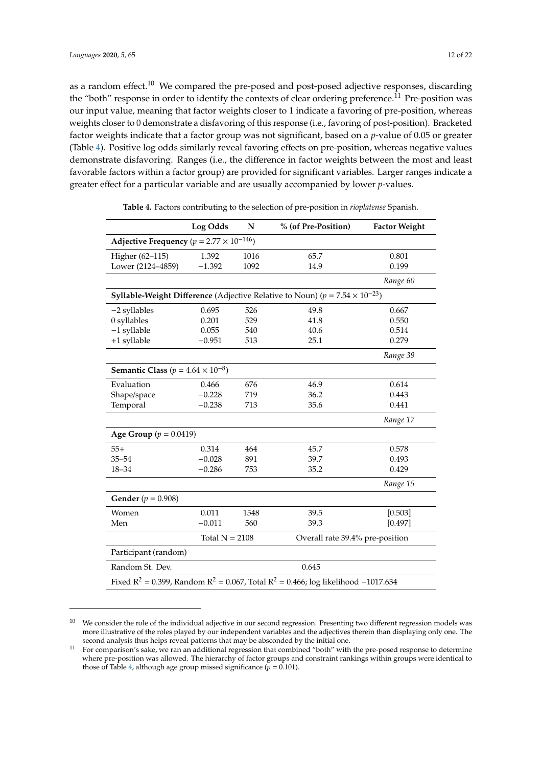as a random effect.<sup>10</sup> We compared the pre-posed and post-posed adjective responses, discarding the "both" response in order to identify the contexts of clear ordering preference.<sup>11</sup> Pre-position was our input value, meaning that factor weights closer to 1 indicate a favoring of pre-position, whereas weights closer to 0 demonstrate a disfavoring of this response (i.e., favoring of post-position). Bracketed factor weights indicate that a factor group was not significant, based on a *p*-value of 0.05 or greater (Table [4\)](#page-11-0). Positive log odds similarly reveal favoring effects on pre-position, whereas negative values demonstrate disfavoring. Ranges (i.e., the difference in factor weights between the most and least favorable factors within a factor group) are provided for significant variables. Larger ranges indicate a greater effect for a particular variable and are usually accompanied by lower *p*-values.

<span id="page-11-0"></span>

|                                                                                                                     | Log Odds                                            | N    | % (of Pre-Position)                                                                           | <b>Factor Weight</b> |  |  |  |  |  |
|---------------------------------------------------------------------------------------------------------------------|-----------------------------------------------------|------|-----------------------------------------------------------------------------------------------|----------------------|--|--|--|--|--|
| Adjective Frequency ( $p = 2.77 \times 10^{-146}$ )                                                                 |                                                     |      |                                                                                               |                      |  |  |  |  |  |
| Higher (62-115)                                                                                                     | 1.392                                               | 1016 | 65.7                                                                                          | 0.801                |  |  |  |  |  |
| Lower (2124-4859)                                                                                                   | $-1.392$                                            | 1092 | 14.9                                                                                          | 0.199                |  |  |  |  |  |
|                                                                                                                     |                                                     |      |                                                                                               | Range 60             |  |  |  |  |  |
|                                                                                                                     |                                                     |      | <b>Syllable-Weight Difference</b> (Adjective Relative to Noun) ( $p = 7.54 \times 10^{-23}$ ) |                      |  |  |  |  |  |
| -2 syllables                                                                                                        | 0.695                                               | 526  | 49.8                                                                                          | 0.667                |  |  |  |  |  |
| 0 syllables                                                                                                         | 0.201                                               | 529  | 41.8                                                                                          | 0.550                |  |  |  |  |  |
| $-1$ syllable                                                                                                       | 0.055                                               | 540  | 40.6                                                                                          | 0.514                |  |  |  |  |  |
| +1 syllable                                                                                                         | $-0.951$                                            | 513  | 25.1                                                                                          | 0.279                |  |  |  |  |  |
|                                                                                                                     |                                                     |      |                                                                                               | Range 39             |  |  |  |  |  |
| <b>Semantic Class</b> ( $p = 4.64 \times 10^{-8}$ )                                                                 |                                                     |      |                                                                                               |                      |  |  |  |  |  |
| Evaluation                                                                                                          | 0.466                                               | 676  | 46.9                                                                                          | 0.614                |  |  |  |  |  |
| Shape/space                                                                                                         | $-0.228$                                            | 719  | 36.2                                                                                          | 0.443                |  |  |  |  |  |
| Temporal                                                                                                            | $-0.238$                                            | 713  | 35.6                                                                                          | 0.441                |  |  |  |  |  |
|                                                                                                                     |                                                     |      |                                                                                               | Range 17             |  |  |  |  |  |
| <b>Age Group</b> ( $p = 0.0419$ )                                                                                   |                                                     |      |                                                                                               |                      |  |  |  |  |  |
| $55+$                                                                                                               | 0.314                                               | 464  | 45.7                                                                                          | 0.578                |  |  |  |  |  |
| $35 - 54$                                                                                                           | $-0.028$                                            | 891  | 39.7                                                                                          | 0.493                |  |  |  |  |  |
| $18 - 34$                                                                                                           | $-0.286$                                            | 753  | 35.2                                                                                          | 0.429                |  |  |  |  |  |
|                                                                                                                     |                                                     |      |                                                                                               | Range 15             |  |  |  |  |  |
| <b>Gender</b> ( $p = 0.908$ )                                                                                       |                                                     |      |                                                                                               |                      |  |  |  |  |  |
| Women                                                                                                               | 0.011                                               | 1548 | 39.5                                                                                          | [0.503]              |  |  |  |  |  |
| Men                                                                                                                 | $-0.011$                                            | 560  | 39.3                                                                                          | [0.497]              |  |  |  |  |  |
|                                                                                                                     | Total $N = 2108$<br>Overall rate 39.4% pre-position |      |                                                                                               |                      |  |  |  |  |  |
| Participant (random)                                                                                                |                                                     |      |                                                                                               |                      |  |  |  |  |  |
| Random St. Dev.<br>0.645                                                                                            |                                                     |      |                                                                                               |                      |  |  |  |  |  |
| Fixed R <sup>2</sup> = 0.399, Random R <sup>2</sup> = 0.067, Total R <sup>2</sup> = 0.466; log likelihood -1017.634 |                                                     |      |                                                                                               |                      |  |  |  |  |  |

**Table 4.** Factors contributing to the selection of pre-position in *rioplatense* Spanish.

<sup>&</sup>lt;sup>10</sup> We consider the role of the individual adjective in our second regression. Presenting two different regression models was more illustrative of the roles played by our independent variables and the adjectives therein than displaying only one. The second analysis thus helps reveal patterns that may be absconded by the initial one.

 $11$  For comparison's sake, we ran an additional regression that combined "both" with the pre-posed response to determine where pre-position was allowed. The hierarchy of factor groups and constraint rankings within groups were identical to those of Table [4,](#page-11-0) although age group missed significance ( $p = 0.101$ ).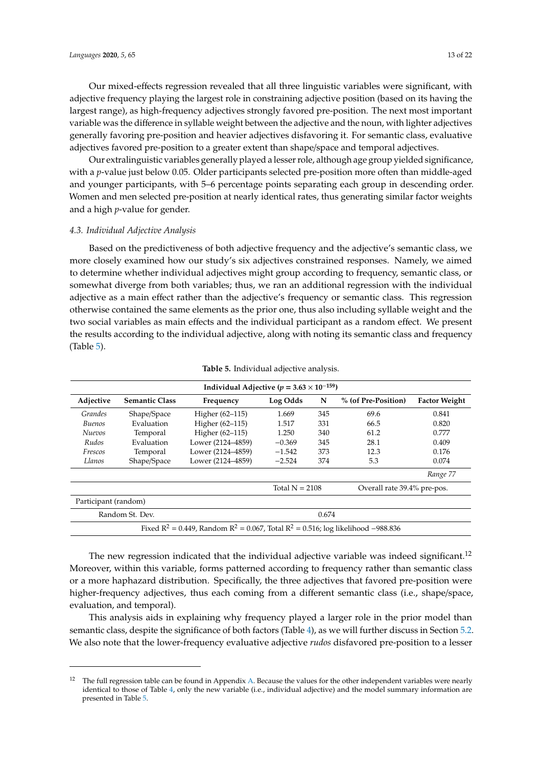Our mixed-effects regression revealed that all three linguistic variables were significant, with adjective frequency playing the largest role in constraining adjective position (based on its having the largest range), as high-frequency adjectives strongly favored pre-position. The next most important variable was the difference in syllable weight between the adjective and the noun, with lighter adjectives generally favoring pre-position and heavier adjectives disfavoring it. For semantic class, evaluative adjectives favored pre-position to a greater extent than shape/space and temporal adjectives.

Our extralinguistic variables generally played a lesser role, although age group yielded significance, with a *p*-value just below 0.05. Older participants selected pre-position more often than middle-aged and younger participants, with 5–6 percentage points separating each group in descending order. Women and men selected pre-position at nearly identical rates, thus generating similar factor weights and a high *p*-value for gender.

# *4.3. Individual Adjective Analysis*

Based on the predictiveness of both adjective frequency and the adjective's semantic class, we more closely examined how our study's six adjectives constrained responses. Namely, we aimed to determine whether individual adjectives might group according to frequency, semantic class, or somewhat diverge from both variables; thus, we ran an additional regression with the individual adjective as a main effect rather than the adjective's frequency or semantic class. This regression otherwise contained the same elements as the prior one, thus also including syllable weight and the two social variables as main effects and the individual participant as a random effect. We present the results according to the individual adjective, along with noting its semantic class and frequency (Table [5\)](#page-12-0).

<span id="page-12-0"></span>

| Individual Adjective ( $p = 3.63 \times 10^{-159}$ ) |                       |                                                                                            |                  |     |                             |                      |  |  |  |  |  |
|------------------------------------------------------|-----------------------|--------------------------------------------------------------------------------------------|------------------|-----|-----------------------------|----------------------|--|--|--|--|--|
| Adjective                                            | <b>Semantic Class</b> | Frequency                                                                                  | Log Odds         | N   | % (of Pre-Position)         | <b>Factor Weight</b> |  |  |  |  |  |
| Grandes                                              | Shape/Space           | Higher (62-115)                                                                            | 1.669            | 345 | 69.6                        | 0.841                |  |  |  |  |  |
| Buenos                                               | Evaluation            | Higher (62-115)                                                                            | 1.517            | 331 | 66.5                        | 0.820                |  |  |  |  |  |
| <b>Nuevos</b>                                        | Temporal              | Higher (62-115)                                                                            | 1.250            | 340 | 61.2                        | 0.777                |  |  |  |  |  |
| Rudos                                                | Evaluation            | Lower (2124–4859)                                                                          | $-0.369$         | 345 | 28.1                        | 0.409                |  |  |  |  |  |
| Frescos                                              | Temporal              | Lower (2124-4859)                                                                          | $-1.542$         | 373 | 12.3                        | 0.176                |  |  |  |  |  |
| Llanos                                               | Shape/Space           | Lower (2124-4859)                                                                          | $-2.524$         | 374 | 5.3                         | 0.074                |  |  |  |  |  |
|                                                      |                       |                                                                                            |                  |     |                             | Range 77             |  |  |  |  |  |
|                                                      |                       |                                                                                            | Total $N = 2108$ |     | Overall rate 39.4% pre-pos. |                      |  |  |  |  |  |
| Participant (random)                                 |                       |                                                                                            |                  |     |                             |                      |  |  |  |  |  |
| Random St. Dev.<br>0.674                             |                       |                                                                                            |                  |     |                             |                      |  |  |  |  |  |
|                                                      |                       | Fixed $R^2 = 0.449$ , Random $R^2 = 0.067$ , Total $R^2 = 0.516$ ; log likelihood -988.836 |                  |     |                             |                      |  |  |  |  |  |

The new regression indicated that the individual adjective variable was indeed significant.<sup>12</sup> Moreover, within this variable, forms patterned according to frequency rather than semantic class or a more haphazard distribution. Specifically, the three adjectives that favored pre-position were higher-frequency adjectives, thus each coming from a different semantic class (i.e., shape/space, evaluation, and temporal).

This analysis aids in explaining why frequency played a larger role in the prior model than semantic class, despite the significance of both factors (Table [4\)](#page-11-0), as we will further discuss in Section [5.2.](#page-15-0) We also note that the lower-frequency evaluative adjective *rudos* disfavored pre-position to a lesser

 $12$  The full regression table can be found in Appendix [A.](#page-18-0) Because the values for the other independent variables were nearly identical to those of Table [4,](#page-11-0) only the new variable (i.e., individual adjective) and the model summary information are presented in Table [5.](#page-12-0)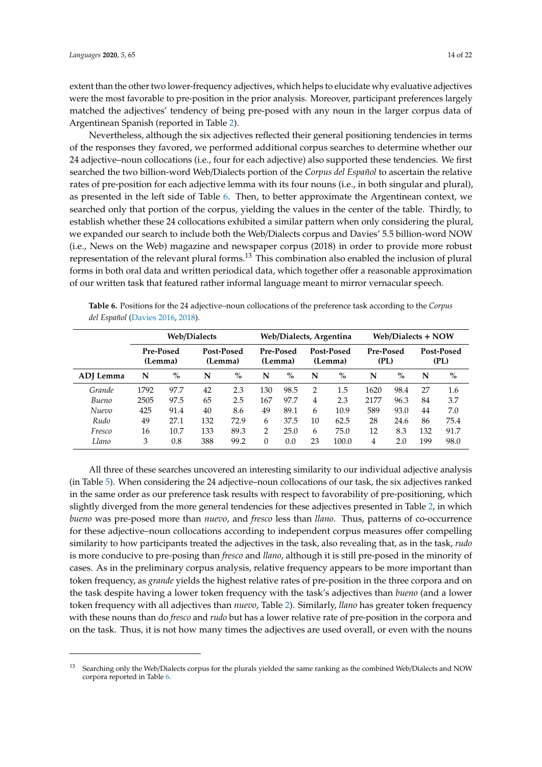extent than the other two lower-frequency adjectives, which helps to elucidate why evaluative adjectives were the most favorable to pre-position in the prior analysis. Moreover, participant preferences largely matched the adjectives' tendency of being pre-posed with any noun in the larger corpus data of Argentinean Spanish (reported in Table [2\)](#page-9-0).

Nevertheless, although the six adjectives reflected their general positioning tendencies in terms of the responses they favored, we performed additional corpus searches to determine whether our 24 adjective–noun collocations (i.e., four for each adjective) also supported these tendencies. We first searched the two billion-word Web/Dialects portion of the *Corpus del Español* to ascertain the relative rates of pre-position for each adjective lemma with its four nouns (i.e., in both singular and plural), as presented in the left side of Table [6.](#page-13-0) Then, to better approximate the Argentinean context, we searched only that portion of the corpus, yielding the values in the center of the table. Thirdly, to establish whether these 24 collocations exhibited a similar pattern when only considering the plural, we expanded our search to include both the Web/Dialects corpus and Davies' 5.5 billion-word NOW (i.e., News on the Web) magazine and newspaper corpus (2018) in order to provide more robust representation of the relevant plural forms.<sup>13</sup> This combination also enabled the inclusion of plural forms in both oral data and written periodical data, which together offer a reasonable approximation of our written task that featured rather informal language meant to mirror vernacular speech.

<span id="page-13-0"></span>**Table 6.** Positions for the 24 adjective–noun collocations of the preference task according to the *Corpus del Español* [\(Davies](#page-19-21) [2016,](#page-19-21) [2018\)](#page-19-22).

|           |                      |      | <b>Web/Dialects</b> |                       |          |                      |    | Web/Dialects, Argentina |                   | Web/Dialects + NOW |     |                    |
|-----------|----------------------|------|---------------------|-----------------------|----------|----------------------|----|-------------------------|-------------------|--------------------|-----|--------------------|
|           | Pre-Posed<br>(Lemma) |      |                     | Post-Posed<br>(Lemma) |          | Pre-Posed<br>(Lemma) |    | Post-Posed<br>(Lemma)   | Pre-Posed<br>(PL) |                    |     | Post-Posed<br>(PL) |
| ADJ Lemma | N                    | $\%$ | N                   | $\%$                  | N        | $\%$                 | N  | $\%$                    | N                 | $\%$               | N   | $\%$               |
| Grande    | 1792                 | 97.7 | 42                  | 2.3                   | 130      | 98.5                 | 2  | 1.5                     | 1620              | 98.4               | 27  | 1.6                |
| Bueno     | 2505                 | 97.5 | 65                  | 2.5                   | 167      | 97.7                 | 4  | 2.3                     | 2177              | 96.3               | 84  | 3.7                |
| Nuevo     | 425                  | 91.4 | 40                  | 8.6                   | 49       | 89.1                 | 6  | 10.9                    | 589               | 93.0               | 44  | 7.0                |
| Rudo      | 49                   | 27.1 | 132                 | 72.9                  | 6        | 37.5                 | 10 | 62.5                    | 28                | 24.6               | 86  | 75.4               |
| Fresco    | 16                   | 10.7 | 133                 | 89.3                  | 2        | 25.0                 | 6  | 75.0                    | 12                | 8.3                | 132 | 91.7               |
| Llano     | 3                    | 0.8  | 388                 | 99.2                  | $\Omega$ | 0.0                  | 23 | 100.0                   | 4                 | 2.0                | 199 | 98.0               |

All three of these searches uncovered an interesting similarity to our individual adjective analysis (in Table [5\)](#page-12-0). When considering the 24 adjective–noun collocations of our task, the six adjectives ranked in the same order as our preference task results with respect to favorability of pre-positioning, which slightly diverged from the more general tendencies for these adjectives presented in Table [2,](#page-9-0) in which *bueno* was pre-posed more than *nuevo*, and *fresco* less than *llano*. Thus, patterns of co-occurrence for these adjective–noun collocations according to independent corpus measures offer compelling similarity to how participants treated the adjectives in the task, also revealing that, as in the task, *rudo* is more conducive to pre-posing than *fresco* and *llano*, although it is still pre-posed in the minority of cases. As in the preliminary corpus analysis, relative frequency appears to be more important than token frequency, as *grande* yields the highest relative rates of pre-position in the three corpora and on the task despite having a lower token frequency with the task's adjectives than *bueno* (and a lower token frequency with all adjectives than *nuevo*, Table [2\)](#page-9-0). Similarly, *llano* has greater token frequency with these nouns than do *fresco* and *rudo* but has a lower relative rate of pre-position in the corpora and on the task. Thus, it is not how many times the adjectives are used overall, or even with the nouns

<sup>13</sup> Searching only the Web/Dialects corpus for the plurals yielded the same ranking as the combined Web/Dialects and NOW corpora reported in Table [6.](#page-13-0)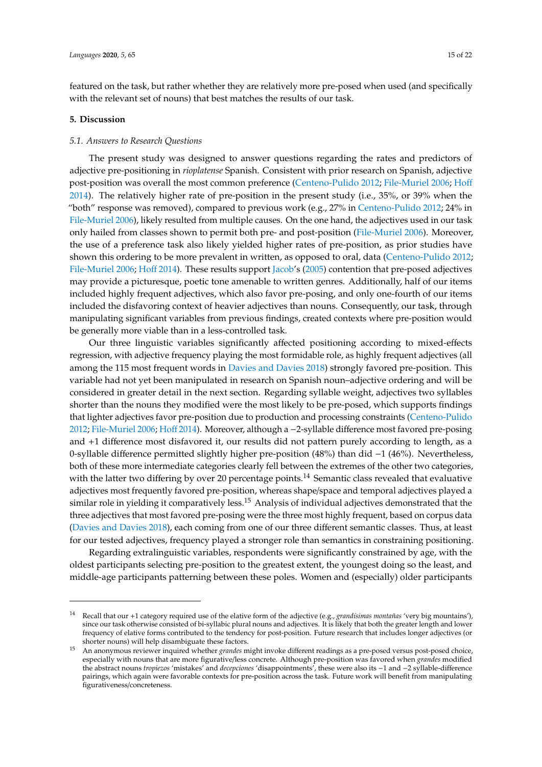featured on the task, but rather whether they are relatively more pre-posed when used (and specifically with the relevant set of nouns) that best matches the results of our task.

#### **5. Discussion**

#### *5.1. Answers to Research Questions*

The present study was designed to answer questions regarding the rates and predictors of adjective pre-positioning in *rioplatense* Spanish. Consistent with prior research on Spanish, adjective post-position was overall the most common preference [\(Centeno-Pulido](#page-19-4) [2012;](#page-19-4) [File-Muriel](#page-20-1) [2006;](#page-20-1) [Ho](#page-20-15)ff [2014\)](#page-20-15). The relatively higher rate of pre-position in the present study (i.e., 35%, or 39% when the "both" response was removed), compared to previous work (e.g., 27% in [Centeno-Pulido](#page-19-4) [2012;](#page-19-4) 24% in [File-Muriel](#page-20-1) [2006\)](#page-20-1), likely resulted from multiple causes. On the one hand, the adjectives used in our task only hailed from classes shown to permit both pre- and post-position [\(File-Muriel](#page-20-1) [2006\)](#page-20-1). Moreover, the use of a preference task also likely yielded higher rates of pre-position, as prior studies have shown this ordering to be more prevalent in written, as opposed to oral, data [\(Centeno-Pulido](#page-19-4) [2012;](#page-19-4) [File-Muriel](#page-20-1) [2006;](#page-20-1) [Ho](#page-20-15)ff [2014\)](#page-20-15). These results support [Jacob'](#page-20-3)s [\(2005\)](#page-20-3) contention that pre-posed adjectives may provide a picturesque, poetic tone amenable to written genres. Additionally, half of our items included highly frequent adjectives, which also favor pre-posing, and only one-fourth of our items included the disfavoring context of heavier adjectives than nouns. Consequently, our task, through manipulating significant variables from previous findings, created contexts where pre-position would be generally more viable than in a less-controlled task.

Our three linguistic variables significantly affected positioning according to mixed-effects regression, with adjective frequency playing the most formidable role, as highly frequent adjectives (all among the 115 most frequent words in [Davies and Davies](#page-19-20) [2018\)](#page-19-20) strongly favored pre-position. This variable had not yet been manipulated in research on Spanish noun–adjective ordering and will be considered in greater detail in the next section. Regarding syllable weight, adjectives two syllables shorter than the nouns they modified were the most likely to be pre-posed, which supports findings that lighter adjectives favor pre-position due to production and processing constraints [\(Centeno-Pulido](#page-19-4) [2012;](#page-19-4) [File-Muriel](#page-20-1) [2006;](#page-20-1) [Ho](#page-20-15)ff [2014\)](#page-20-15). Moreover, although a −2-syllable difference most favored pre-posing and +1 difference most disfavored it, our results did not pattern purely according to length, as a 0-syllable difference permitted slightly higher pre-position (48%) than did −1 (46%). Nevertheless, both of these more intermediate categories clearly fell between the extremes of the other two categories, with the latter two differing by over 20 percentage points.<sup>14</sup> Semantic class revealed that evaluative adjectives most frequently favored pre-position, whereas shape/space and temporal adjectives played a similar role in yielding it comparatively less.<sup>15</sup> Analysis of individual adjectives demonstrated that the three adjectives that most favored pre-posing were the three most highly frequent, based on corpus data [\(Davies and Davies](#page-19-20) [2018\)](#page-19-20), each coming from one of our three different semantic classes. Thus, at least for our tested adjectives, frequency played a stronger role than semantics in constraining positioning.

Regarding extralinguistic variables, respondents were significantly constrained by age, with the oldest participants selecting pre-position to the greatest extent, the youngest doing so the least, and middle-age participants patterning between these poles. Women and (especially) older participants

<sup>14</sup> Recall that our +1 category required use of the elative form of the adjective (e.g., *grandísimas montañas* 'very big mountains'), since our task otherwise consisted of bi-syllabic plural nouns and adjectives. It is likely that both the greater length and lower frequency of elative forms contributed to the tendency for post-position. Future research that includes longer adjectives (or shorter nouns) will help disambiguate these factors.

<sup>15</sup> An anonymous reviewer inquired whether *grandes* might invoke different readings as a pre-posed versus post-posed choice, especially with nouns that are more figurative/less concrete. Although pre-position was favored when *grandes* modified the abstract nouns *tropiezos* 'mistakes' and *decepciones* 'disappointments', these were also its −1 and −2 syllable-difference pairings, which again were favorable contexts for pre-position across the task. Future work will benefit from manipulating figurativeness/concreteness.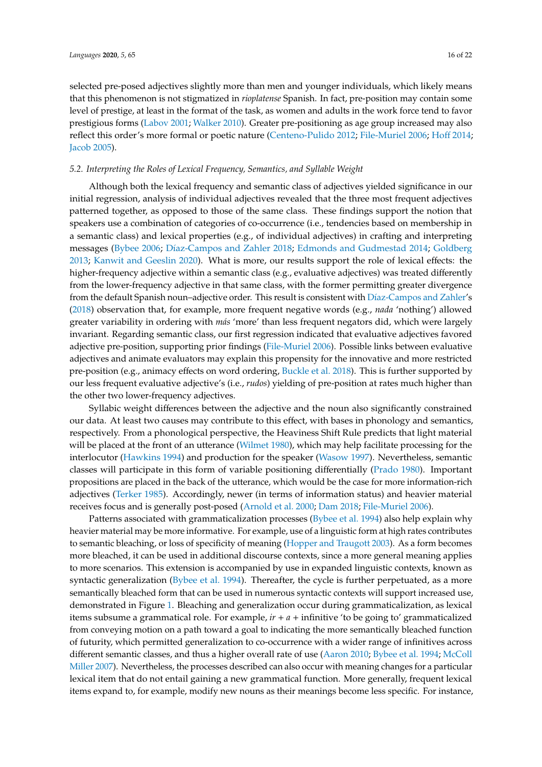selected pre-posed adjectives slightly more than men and younger individuals, which likely means that this phenomenon is not stigmatized in *rioplatense* Spanish. In fact, pre-position may contain some level of prestige, at least in the format of the task, as women and adults in the work force tend to favor prestigious forms [\(Labov](#page-20-24) [2001;](#page-20-24) [Walker](#page-21-5) [2010\)](#page-21-5). Greater pre-positioning as age group increased may also reflect this order's more formal or poetic nature [\(Centeno-Pulido](#page-19-4) [2012;](#page-19-4) [File-Muriel](#page-20-1) [2006;](#page-20-1) [Ho](#page-20-15)ff [2014;](#page-20-15) [Jacob](#page-20-3) [2005\)](#page-20-3).

## <span id="page-15-0"></span>*5.2. Interpreting the Roles of Lexical Frequency, Semantics, and Syllable Weight*

Although both the lexical frequency and semantic class of adjectives yielded significance in our initial regression, analysis of individual adjectives revealed that the three most frequent adjectives patterned together, as opposed to those of the same class. These findings support the notion that speakers use a combination of categories of co-occurrence (i.e., tendencies based on membership in a semantic class) and lexical properties (e.g., of individual adjectives) in crafting and interpreting messages [\(Bybee](#page-19-7) [2006;](#page-19-7) Dí[az-Campos and Zahler](#page-20-11) [2018;](#page-20-11) [Edmonds and Gudmestad](#page-20-12) [2014;](#page-20-12) [Goldberg](#page-20-6) [2013;](#page-20-6) [Kanwit and Geeslin](#page-20-21) [2020\)](#page-20-21). What is more, our results support the role of lexical effects: the higher-frequency adjective within a semantic class (e.g., evaluative adjectives) was treated differently from the lower-frequency adjective in that same class, with the former permitting greater divergence from the default Spanish noun–adjective order. This result is consistent with Dí[az-Campos and Zahler'](#page-20-11)s [\(2018\)](#page-20-11) observation that, for example, more frequent negative words (e.g., *nada* 'nothing') allowed greater variability in ordering with *más* 'more' than less frequent negators did, which were largely invariant. Regarding semantic class, our first regression indicated that evaluative adjectives favored adjective pre-position, supporting prior findings [\(File-Muriel](#page-20-1) [2006\)](#page-20-1). Possible links between evaluative adjectives and animate evaluators may explain this propensity for the innovative and more restricted pre-position (e.g., animacy effects on word ordering, [Buckle et al.](#page-19-23) [2018\)](#page-19-23). This is further supported by our less frequent evaluative adjective's (i.e., *rudos*) yielding of pre-position at rates much higher than the other two lower-frequency adjectives.

Syllabic weight differences between the adjective and the noun also significantly constrained our data. At least two causes may contribute to this effect, with bases in phonology and semantics, respectively. From a phonological perspective, the Heaviness Shift Rule predicts that light material will be placed at the front of an utterance [\(Wilmet](#page-21-15) [1980\)](#page-21-15), which may help facilitate processing for the interlocutor [\(Hawkins](#page-20-16) [1994\)](#page-20-16) and production for the speaker [\(Wasow](#page-21-12) [1997\)](#page-21-12). Nevertheless, semantic classes will participate in this form of variable positioning differentially [\(Prado](#page-20-18) [1980\)](#page-20-18). Important propositions are placed in the back of the utterance, which would be the case for more information-rich adjectives [\(Terker](#page-21-13) [1985\)](#page-21-13). Accordingly, newer (in terms of information status) and heavier material receives focus and is generally post-posed [\(Arnold et al.](#page-19-16) [2000;](#page-19-16) [Dam](#page-19-12) [2018;](#page-19-12) [File-Muriel](#page-20-1) [2006\)](#page-20-1).

Patterns associated with grammaticalization processes [\(Bybee et al.](#page-19-11) [1994\)](#page-19-11) also help explain why heavier material may be more informative. For example, use of a linguistic form at high rates contributes to semantic bleaching, or loss of specificity of meaning [\(Hopper and Traugott](#page-20-8) [2003\)](#page-20-8). As a form becomes more bleached, it can be used in additional discourse contexts, since a more general meaning applies to more scenarios. This extension is accompanied by use in expanded linguistic contexts, known as syntactic generalization [\(Bybee et al.](#page-19-11) [1994\)](#page-19-11). Thereafter, the cycle is further perpetuated, as a more semantically bleached form that can be used in numerous syntactic contexts will support increased use, demonstrated in Figure [1.](#page-16-0) Bleaching and generalization occur during grammaticalization, as lexical items subsume a grammatical role. For example, *ir* + *a* + infinitive 'to be going to' grammaticalized from conveying motion on a path toward a goal to indicating the more semantically bleached function of futurity, which permitted generalization to co-occurrence with a wider range of infinitives across different semantic classes, and thus a higher overall rate of use [\(Aaron](#page-19-5) [2010;](#page-19-5) [Bybee et al.](#page-19-11) [1994;](#page-19-11) [McColl](#page-20-25) [Miller](#page-20-25) [2007\)](#page-20-25). Nevertheless, the processes described can also occur with meaning changes for a particular lexical item that do not entail gaining a new grammatical function. More generally, frequent lexical items expand to, for example, modify new nouns as their meanings become less specific. For instance,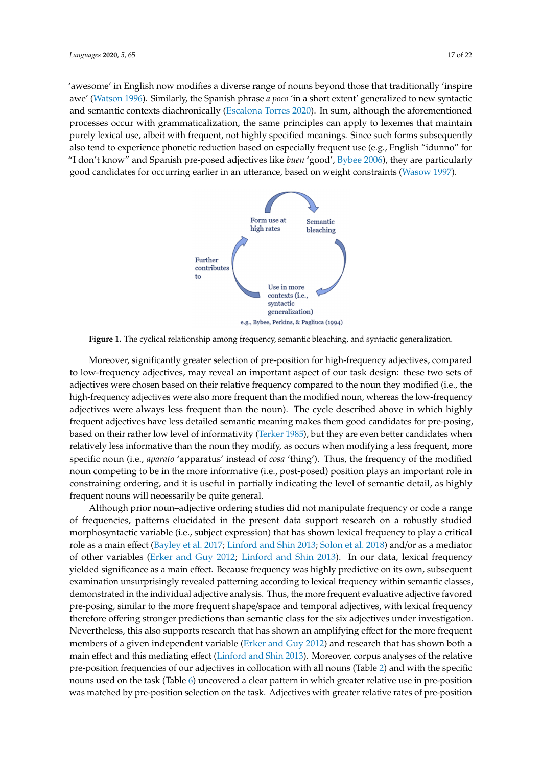<span id="page-16-0"></span>'awesome' in English now modifies a diverse range of nouns beyond those that traditionally 'inspire awe' (Watson 1996). Similarly, the Spanish phrase *a poco* 'in a short extent' generalized to new syntactic and semantic contexts diachronically (Escalona Torres 2020). In sum, although the aforementioned processes occur with grammaticalization, the same principles can apply to lexemes that maintain purely lexical use, albeit with frequent, not highly specified meanings. Since such forms subsequently also tend to experience phonetic reduction based on especially frequent use (e.g., English "idunno" for "I don't know" and Spanish pre-posed adjectives like *buen* 'good', Bybee 2006), they are particularly "I don't know" and Spanish pre-posed adjectives like *buen* 'good', Bybee 2006), they are particularly<br>good [candidates f](#page-19-7)or occurring earlier in an utterance, based on weight constraints (Wasow 1997). 'awesome' in English now modifies a diverse range of nouns beyond those that traditionally 'inspire awe' (Watson 1996). Similarly, the Spanish phrase *a poco* 'in a short extent' generalized to new syntactic and semantic c



**Figure 1.** The cyclical relationship among frequency, semantic bleaching, and syntactic generalization. **Figure 1.** The cyclical relationship among frequency, semantic bleaching, and syntactic generalization.

Moreover, significantly greater selection of pre-position for high-frequency adjectives, Moreover, significantly greater selection of pre-position for high-frequency adjectives, compared to low-frequency adjectives, may reveal an important aspect of our task design: these two sets of adjectives were chosen based on their relative frequency compared to the noun they modified (i.e., the high-frequency adjectives were also more frequent than the modified noun, whereas the low-frequency adjectives were always less frequent than the noun). The cycle described above in which highly frequent adjectives have less detailed semantic meaning makes them good candidates for pre-posing, based on their rather low level of informativity [\(Terker](#page-21-13) [1985\)](#page-21-13), but they are even better candidates when relatively less informative than the noun they modify, as occurs when modifying a less frequent, more specific noun (i.e., *aparato* 'apparatus' instead of *cosa* 'thing'). Thus, the frequency of the modified noun competing to be in the more informative (i.e., post-posed) position plays an important role in constraining ordering, and it is useful in partially indicating the level of semantic detail, as highly frequent nouns will necessarily be quite general.

Although prior noun–adjective ordering studies did not manipulate frequency or code a range of frequencies, patterns elucidated in the present data support research on a robustly studied morphosyntactic variable (i.e., subject expression) that has shown lexical frequency to play a critical role as a main effect [\(Bayley et al.](#page-19-17) [2017;](#page-19-17) [Linford and Shin](#page-20-5) [2013;](#page-20-5) [Solon et al.](#page-21-14) [2018\)](#page-21-14) and/or as a mediator of other variables [\(Erker and Guy](#page-20-10) [2012;](#page-20-10) [Linford and Shin](#page-20-5) [2013\)](#page-20-5). In our data, lexical frequency yielded significance as a main effect. Because frequency was highly predictive on its own, subsequent examination unsurprisingly revealed patterning according to lexical frequency within semantic classes, demonstrated in the individual adjective analysis. Thus, the more frequent evaluative adjective favored pre-posing, similar to the more frequent shape/space and temporal adjectives, with lexical frequency therefore offering stronger predictions than semantic class for the six adjectives under investigation. Nevertheless, this also supports research that has shown an amplifying effect for the more frequent members of a given independent variable [\(Erker and Guy](#page-20-10) [2012\)](#page-20-10) and research that has shown both a main effect and this mediating effect [\(Linford and Shin](#page-20-5) [2013\)](#page-20-5). Moreover, corpus analyses of the relative pre-position frequencies of our adjectives in collocation with all nouns (Table [2\)](#page-9-0) and with the specific nouns used on the task (Table [6\)](#page-13-0) uncovered a clear pattern in which greater relative use in pre-position was matched by pre-position selection on the task. Adjectives with greater relative rates of pre-position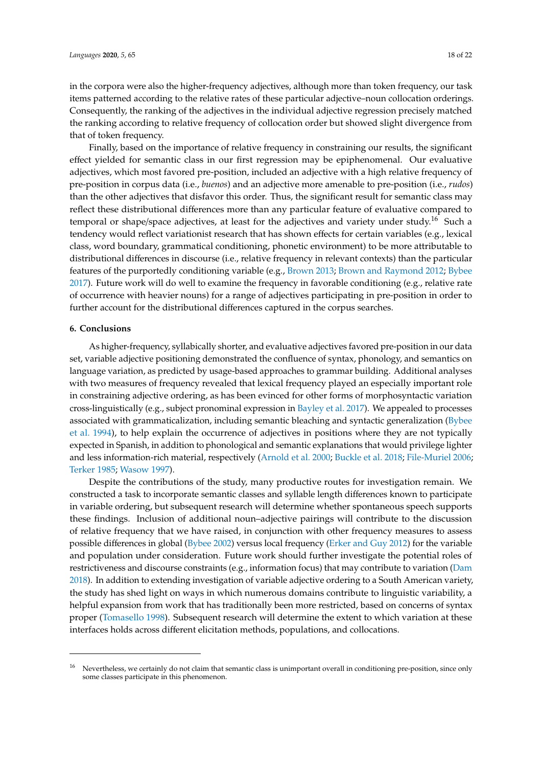in the corpora were also the higher-frequency adjectives, although more than token frequency, our task items patterned according to the relative rates of these particular adjective–noun collocation orderings. Consequently, the ranking of the adjectives in the individual adjective regression precisely matched the ranking according to relative frequency of collocation order but showed slight divergence from that of token frequency.

Finally, based on the importance of relative frequency in constraining our results, the significant effect yielded for semantic class in our first regression may be epiphenomenal. Our evaluative adjectives, which most favored pre-position, included an adjective with a high relative frequency of pre-position in corpus data (i.e., *buenos*) and an adjective more amenable to pre-position (i.e., *rudos*) than the other adjectives that disfavor this order. Thus, the significant result for semantic class may reflect these distributional differences more than any particular feature of evaluative compared to temporal or shape/space adjectives, at least for the adjectives and variety under study.<sup>16</sup> Such a tendency would reflect variationist research that has shown effects for certain variables (e.g., lexical class, word boundary, grammatical conditioning, phonetic environment) to be more attributable to distributional differences in discourse (i.e., relative frequency in relevant contexts) than the particular features of the purportedly conditioning variable (e.g., [Brown](#page-19-24) [2013;](#page-19-24) [Brown and Raymond](#page-19-6) [2012;](#page-19-6) [Bybee](#page-19-9) [2017\)](#page-19-9). Future work will do well to examine the frequency in favorable conditioning (e.g., relative rate of occurrence with heavier nouns) for a range of adjectives participating in pre-position in order to further account for the distributional differences captured in the corpus searches.

#### **6. Conclusions**

As higher-frequency, syllabically shorter, and evaluative adjectives favored pre-position in our data set, variable adjective positioning demonstrated the confluence of syntax, phonology, and semantics on language variation, as predicted by usage-based approaches to grammar building. Additional analyses with two measures of frequency revealed that lexical frequency played an especially important role in constraining adjective ordering, as has been evinced for other forms of morphosyntactic variation cross-linguistically (e.g., subject pronominal expression in [Bayley et al.](#page-19-17) [2017\)](#page-19-17). We appealed to processes associated with grammaticalization, including semantic bleaching and syntactic generalization [\(Bybee](#page-19-11) [et al.](#page-19-11) [1994\)](#page-19-11), to help explain the occurrence of adjectives in positions where they are not typically expected in Spanish, in addition to phonological and semantic explanations that would privilege lighter and less information-rich material, respectively [\(Arnold et al.](#page-19-16) [2000;](#page-19-16) [Buckle et al.](#page-19-23) [2018;](#page-19-23) [File-Muriel](#page-20-1) [2006;](#page-20-1) [Terker](#page-21-13) [1985;](#page-21-13) [Wasow](#page-21-12) [1997\)](#page-21-12).

Despite the contributions of the study, many productive routes for investigation remain. We constructed a task to incorporate semantic classes and syllable length differences known to participate in variable ordering, but subsequent research will determine whether spontaneous speech supports these findings. Inclusion of additional noun–adjective pairings will contribute to the discussion of relative frequency that we have raised, in conjunction with other frequency measures to assess possible differences in global [\(Bybee](#page-19-10) [2002\)](#page-19-10) versus local frequency [\(Erker and Guy](#page-20-10) [2012\)](#page-20-10) for the variable and population under consideration. Future work should further investigate the potential roles of restrictiveness and discourse constraints (e.g., information focus) that may contribute to variation [\(Dam](#page-19-12) [2018\)](#page-19-12). In addition to extending investigation of variable adjective ordering to a South American variety, the study has shed light on ways in which numerous domains contribute to linguistic variability, a helpful expansion from work that has traditionally been more restricted, based on concerns of syntax proper [\(Tomasello](#page-21-7) [1998\)](#page-21-7). Subsequent research will determine the extent to which variation at these interfaces holds across different elicitation methods, populations, and collocations.

<sup>&</sup>lt;sup>16</sup> Nevertheless, we certainly do not claim that semantic class is unimportant overall in conditioning pre-position, since only some classes participate in this phenomenon.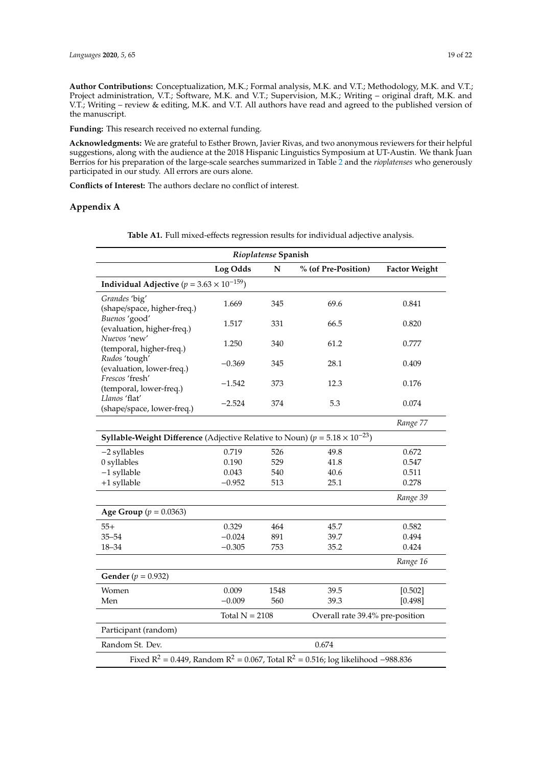**Author Contributions:** Conceptualization, M.K.; Formal analysis, M.K. and V.T.; Methodology, M.K. and V.T.; Project administration, V.T.; Software, M.K. and V.T.; Supervision, M.K.; Writing – original draft, M.K. and V.T.; Writing – review & editing, M.K. and V.T. All authors have read and agreed to the published version of the manuscript.

**Funding:** This research received no external funding.

**Acknowledgments:** We are grateful to Esther Brown, Javier Rivas, and two anonymous reviewers for their helpful suggestions, along with the audience at the 2018 Hispanic Linguistics Symposium at UT-Austin. We thank Juan Berríos for his preparation of the large-scale searches summarized in Table [2](#page-9-0) and the *rioplatenses* who generously participated in our study. All errors are ours alone.

**Conflicts of Interest:** The authors declare no conflict of interest.

## <span id="page-18-0"></span>**Appendix A**

|                                                                                               | Rioplatense Spanish |           |                                 |                      |  |  |  |  |  |  |  |  |
|-----------------------------------------------------------------------------------------------|---------------------|-----------|---------------------------------|----------------------|--|--|--|--|--|--|--|--|
|                                                                                               | Log Odds            | ${\bf N}$ | % (of Pre-Position)             | <b>Factor Weight</b> |  |  |  |  |  |  |  |  |
| Individual Adjective ( $p = 3.63 \times 10^{-159}$ )                                          |                     |           |                                 |                      |  |  |  |  |  |  |  |  |
| Grandes 'big'<br>(shape/space, higher-freq.)                                                  | 1.669               | 345       | 69.6                            | 0.841                |  |  |  |  |  |  |  |  |
| Buenos 'good'<br>(evaluation, higher-freq.)                                                   | 1.517               | 331       | 66.5                            | 0.820                |  |  |  |  |  |  |  |  |
| Nuevos 'new'<br>(temporal, higher-freq.)                                                      | 1.250               | 340       | 61.2                            | 0.777                |  |  |  |  |  |  |  |  |
| Rudos 'tough'<br>(evaluation, lower-freq.)                                                    | $-0.369$            | 345       | 28.1                            | 0.409                |  |  |  |  |  |  |  |  |
| Frescos 'fresh'<br>(temporal, lower-freq.)                                                    | $-1.542$            | 373       | 12.3                            | 0.176                |  |  |  |  |  |  |  |  |
| Llanos 'flat'<br>(shape/space, lower-freq.)                                                   | $-2.524$            | 374       | 5.3                             | 0.074                |  |  |  |  |  |  |  |  |
|                                                                                               |                     |           |                                 | Range 77             |  |  |  |  |  |  |  |  |
| <b>Syllable-Weight Difference</b> (Adjective Relative to Noun) ( $p = 5.18 \times 10^{-23}$ ) |                     |           |                                 |                      |  |  |  |  |  |  |  |  |
| -2 syllables                                                                                  | 0.719               | 526       | 49.8                            | 0.672                |  |  |  |  |  |  |  |  |
| 0 syllables                                                                                   | 0.190               | 529       | 41.8                            | 0.547                |  |  |  |  |  |  |  |  |
| $-1$ syllable                                                                                 | 0.043               | 540       | 40.6                            | 0.511                |  |  |  |  |  |  |  |  |
| +1 syllable                                                                                   | $-0.952$            | 513       | 25.1                            | 0.278                |  |  |  |  |  |  |  |  |
|                                                                                               |                     |           |                                 | Range 39             |  |  |  |  |  |  |  |  |
| <b>Age Group</b> ( $p = 0.0363$ )                                                             |                     |           |                                 |                      |  |  |  |  |  |  |  |  |
| $55+$                                                                                         | 0.329               | 464       | 45.7                            | 0.582                |  |  |  |  |  |  |  |  |
| $35 - 54$                                                                                     | $-0.024$            | 891       | 39.7                            | 0.494                |  |  |  |  |  |  |  |  |
| $18 - 34$                                                                                     | $-0.305$            | 753       | 35.2                            | 0.424                |  |  |  |  |  |  |  |  |
|                                                                                               |                     |           |                                 | Range 16             |  |  |  |  |  |  |  |  |
| <b>Gender</b> ( $p = 0.932$ )                                                                 |                     |           |                                 |                      |  |  |  |  |  |  |  |  |
| Women                                                                                         | 0.009               | 1548      | 39.5                            | [0.502]              |  |  |  |  |  |  |  |  |
| Men                                                                                           | $-0.009$            | 560       | 39.3                            | [0.498]              |  |  |  |  |  |  |  |  |
|                                                                                               | Total $N = 2108$    |           | Overall rate 39.4% pre-position |                      |  |  |  |  |  |  |  |  |
| Participant (random)                                                                          |                     |           |                                 |                      |  |  |  |  |  |  |  |  |
| Random St. Dev.                                                                               |                     |           | 0.674                           |                      |  |  |  |  |  |  |  |  |
| Fixed $R^2 = 0.449$ , Random $R^2 = 0.067$ , Total $R^2 = 0.516$ ; log likelihood -988.836    |                     |           |                                 |                      |  |  |  |  |  |  |  |  |

**Table A1.** Full mixed-effects regression results for individual adjective analysis.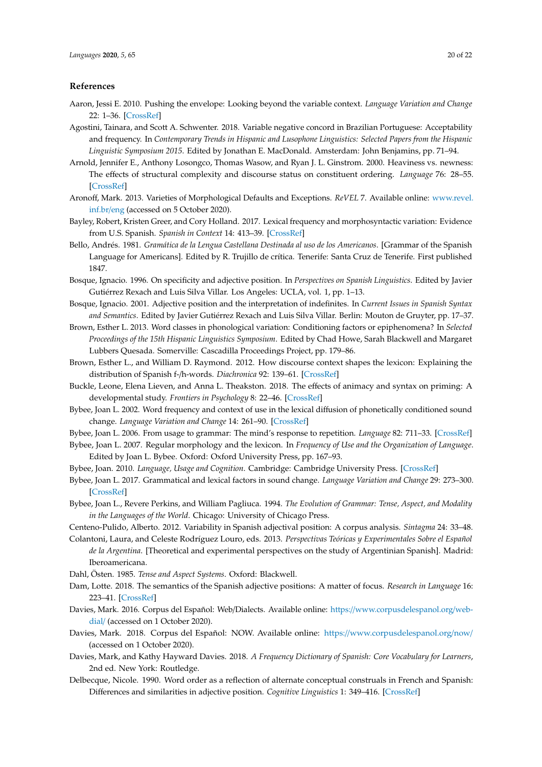#### **References**

- <span id="page-19-5"></span>Aaron, Jessi E. 2010. Pushing the envelope: Looking beyond the variable context. *Language Variation and Change* 22: 1–36. [\[CrossRef\]](http://dx.doi.org/10.1017/S0954394509990226)
- <span id="page-19-19"></span>Agostini, Tainara, and Scott A. Schwenter. 2018. Variable negative concord in Brazilian Portuguese: Acceptability and frequency. In *Contemporary Trends in Hispanic and Lusophone Linguistics: Selected Papers from the Hispanic Linguistic Symposium 2015*. Edited by Jonathan E. MacDonald. Amsterdam: John Benjamins, pp. 71–94.
- <span id="page-19-16"></span>Arnold, Jennifer E., Anthony Losongco, Thomas Wasow, and Ryan J. L. Ginstrom. 2000. Heaviness vs. newness: The effects of structural complexity and discourse status on constituent ordering. *Language* 76: 28–55. [\[CrossRef\]](http://dx.doi.org/10.1353/lan.2000.0045)
- <span id="page-19-0"></span>Aronoff, Mark. 2013. Varieties of Morphological Defaults and Exceptions. *ReVEL* 7. Available online: [www.revel.](www.revel.inf.br/eng) [inf.br](www.revel.inf.br/eng)/eng (accessed on 5 October 2020).
- <span id="page-19-17"></span>Bayley, Robert, Kristen Greer, and Cory Holland. 2017. Lexical frequency and morphosyntactic variation: Evidence from U.S. Spanish. *Spanish in Context* 14: 413–39. [\[CrossRef\]](http://dx.doi.org/10.1075/sic.14.3.04bay)
- <span id="page-19-13"></span>Bello, Andrés. 1981. *Gramática de la Lengua Castellana Destinada al uso de los Americanos*. [Grammar of the Spanish Language for Americans]. Edited by R. Trujillo de crítica. Tenerife: Santa Cruz de Tenerife. First published 1847.
- <span id="page-19-14"></span>Bosque, Ignacio. 1996. On specificity and adjective position. In *Perspectives on Spanish Linguistics*. Edited by Javier Gutiérrez Rexach and Luis Silva Villar. Los Angeles: UCLA, vol. 1, pp. 1–13.
- <span id="page-19-15"></span>Bosque, Ignacio. 2001. Adjective position and the interpretation of indefinites. In *Current Issues in Spanish Syntax and Semantics*. Edited by Javier Gutiérrez Rexach and Luis Silva Villar. Berlin: Mouton de Gruyter, pp. 17–37.
- <span id="page-19-24"></span>Brown, Esther L. 2013. Word classes in phonological variation: Conditioning factors or epiphenomena? In *Selected Proceedings of the 15th Hispanic Linguistics Symposium*. Edited by Chad Howe, Sarah Blackwell and Margaret Lubbers Quesada. Somerville: Cascadilla Proceedings Project, pp. 179–86.
- <span id="page-19-6"></span>Brown, Esther L., and William D. Raymond. 2012. How discourse context shapes the lexicon: Explaining the distribution of Spanish f-/h-words. *Diachronica* 92: 139–61. [\[CrossRef\]](http://dx.doi.org/10.1075/dia.29.2.02bro)
- <span id="page-19-23"></span>Buckle, Leone, Elena Lieven, and Anna L. Theakston. 2018. The effects of animacy and syntax on priming: A developmental study. *Frontiers in Psychology* 8: 22–46. [\[CrossRef\]](http://dx.doi.org/10.3389/fpsyg.2017.02246)
- <span id="page-19-10"></span>Bybee, Joan L. 2002. Word frequency and context of use in the lexical diffusion of phonetically conditioned sound change. *Language Variation and Change* 14: 261–90. [\[CrossRef\]](http://dx.doi.org/10.1017/S0954394502143018)
- <span id="page-19-7"></span>Bybee, Joan L. 2006. From usage to grammar: The mind's response to repetition. *Language* 82: 711–33. [\[CrossRef\]](http://dx.doi.org/10.1353/lan.2006.0186)
- <span id="page-19-1"></span>Bybee, Joan L. 2007. Regular morphology and the lexicon. In *Frequency of Use and the Organization of Language*. Edited by Joan L. Bybee. Oxford: Oxford University Press, pp. 167–93.
- <span id="page-19-9"></span><span id="page-19-8"></span>Bybee, Joan. 2010. *Language, Usage and Cognition*. Cambridge: Cambridge University Press. [\[CrossRef\]](http://dx.doi.org/10.1017/CBO9780511750526)
- Bybee, Joan L. 2017. Grammatical and lexical factors in sound change. *Language Variation and Change* 29: 273–300. [\[CrossRef\]](http://dx.doi.org/10.1017/S0954394517000199)
- <span id="page-19-11"></span>Bybee, Joan L., Revere Perkins, and William Pagliuca. 1994. *The Evolution of Grammar: Tense, Aspect, and Modality in the Languages of the World*. Chicago: University of Chicago Press.
- <span id="page-19-4"></span>Centeno-Pulido, Alberto. 2012. Variability in Spanish adjectival position: A corpus analysis. *Sintagma* 24: 33–48.
- <span id="page-19-18"></span>Colantoni, Laura, and Celeste Rodríguez Louro, eds. 2013. *Perspectivas Teóricas y Experimentales Sobre el Español de la Argentina*. [Theoretical and experimental perspectives on the study of Argentinian Spanish]. Madrid: Iberoamericana.
- <span id="page-19-12"></span><span id="page-19-2"></span>Dahl, Östen. 1985. *Tense and Aspect Systems*. Oxford: Blackwell.
- Dam, Lotte. 2018. The semantics of the Spanish adjective positions: A matter of focus. *Research in Language* 16: 223–41. [\[CrossRef\]](http://dx.doi.org/10.2478/rela-2018-0010)
- <span id="page-19-21"></span>Davies, Mark. 2016. Corpus del Español: Web/Dialects. Available online: https://[www.corpusdelespanol.org](https://www.corpusdelespanol.org/web-dial/)/web[dial](https://www.corpusdelespanol.org/web-dial/)/ (accessed on 1 October 2020).
- <span id="page-19-22"></span>Davies, Mark. 2018. Corpus del Español: NOW. Available online: https://[www.corpusdelespanol.org](https://www.corpusdelespanol.org/now/)/now/ (accessed on 1 October 2020).
- <span id="page-19-20"></span>Davies, Mark, and Kathy Hayward Davies. 2018. *A Frequency Dictionary of Spanish: Core Vocabulary for Learners*, 2nd ed. New York: Routledge.
- <span id="page-19-3"></span>Delbecque, Nicole. 1990. Word order as a reflection of alternate conceptual construals in French and Spanish: Differences and similarities in adjective position. *Cognitive Linguistics* 1: 349–416. [\[CrossRef\]](http://dx.doi.org/10.1515/cogl.1990.1.4.349)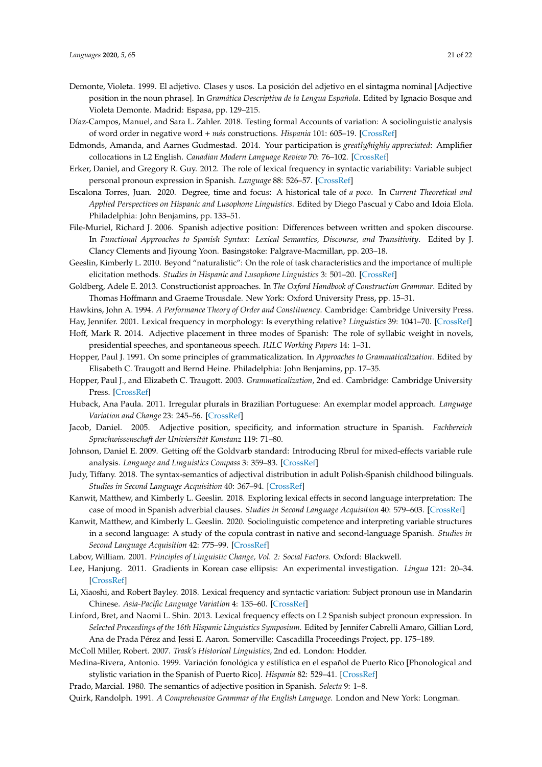- <span id="page-20-2"></span>Demonte, Violeta. 1999. El adjetivo. Clases y usos. La posición del adjetivo en el sintagma nominal [Adjective position in the noun phrase]. In *Gramática Descriptiva de la Lengua Española*. Edited by Ignacio Bosque and Violeta Demonte. Madrid: Espasa, pp. 129–215.
- <span id="page-20-11"></span>Díaz-Campos, Manuel, and Sara L. Zahler. 2018. Testing formal Accounts of variation: A sociolinguistic analysis of word order in negative word + *más* constructions. *Hispania* 101: 605–19. [\[CrossRef\]](http://dx.doi.org/10.1353/hpn.2018.0181)
- <span id="page-20-12"></span>Edmonds, Amanda, and Aarnes Gudmestad. 2014. Your participation is *greatly*/*highly appreciated*: Amplifier collocations in L2 English. *Canadian Modern Language Review* 70: 76–102. [\[CrossRef\]](http://dx.doi.org/10.3138/cmlr.1704)
- <span id="page-20-10"></span>Erker, Daniel, and Gregory R. Guy. 2012. The role of lexical frequency in syntactic variability: Variable subject personal pronoun expression in Spanish. *Language* 88: 526–57. [\[CrossRef\]](http://dx.doi.org/10.1353/lan.2012.0050)
- <span id="page-20-26"></span>Escalona Torres, Juan. 2020. Degree, time and focus: A historical tale of *a poco*. In *Current Theoretical and Applied Perspectives on Hispanic and Lusophone Linguistics*. Edited by Diego Pascual y Cabo and Idoia Elola. Philadelphia: John Benjamins, pp. 133–51.
- <span id="page-20-1"></span>File-Muriel, Richard J. 2006. Spanish adjective position: Differences between written and spoken discourse. In *Functional Approaches to Spanish Syntax: Lexical Semantics, Discourse, and Transitivity*. Edited by J. Clancy Clements and Jiyoung Yoon. Basingstoke: Palgrave-Macmillan, pp. 203–18.
- <span id="page-20-20"></span>Geeslin, Kimberly L. 2010. Beyond "naturalistic": On the role of task characteristics and the importance of multiple elicitation methods. *Studies in Hispanic and Lusophone Linguistics* 3: 501–20. [\[CrossRef\]](http://dx.doi.org/10.1515/shll-2010-1084)
- <span id="page-20-6"></span>Goldberg, Adele E. 2013. Constructionist approaches. In *The Oxford Handbook of Construction Grammar*. Edited by Thomas Hoffmann and Graeme Trousdale. New York: Oxford University Press, pp. 15–31.

<span id="page-20-22"></span><span id="page-20-16"></span>Hawkins, John A. 1994. *A Performance Theory of Order and Constituency*. Cambridge: Cambridge University Press.

Hay, Jennifer. 2001. Lexical frequency in morphology: Is everything relative? *Linguistics* 39: 1041–70. [\[CrossRef\]](http://dx.doi.org/10.1515/ling.2001.041)

- <span id="page-20-15"></span>Hoff, Mark R. 2014. Adjective placement in three modes of Spanish: The role of syllabic weight in novels, presidential speeches, and spontaneous speech. *IULC Working Papers* 14: 1–31.
- <span id="page-20-9"></span>Hopper, Paul J. 1991. On some principles of grammaticalization. In *Approaches to Grammaticalization*. Edited by Elisabeth C. Traugott and Bernd Heine. Philadelphia: John Benjamins, pp. 17–35.
- <span id="page-20-8"></span>Hopper, Paul J., and Elizabeth C. Traugott. 2003. *Grammaticalization*, 2nd ed. Cambridge: Cambridge University Press. [\[CrossRef\]](http://dx.doi.org/10.1017/CBO9781139165525)
- <span id="page-20-7"></span>Huback, Ana Paula. 2011. Irregular plurals in Brazilian Portuguese: An exemplar model approach. *Language Variation and Change* 23: 245–56. [\[CrossRef\]](http://dx.doi.org/10.1017/S0954394511000068)
- <span id="page-20-3"></span>Jacob, Daniel. 2005. Adjective position, specificity, and information structure in Spanish. *Fachbereich Sprachwissenschaft der Univiersität Konstanz* 119: 71–80.
- <span id="page-20-23"></span>Johnson, Daniel E. 2009. Getting off the Goldvarb standard: Introducing Rbrul for mixed-effects variable rule analysis. *Language and Linguistics Compass* 3: 359–83. [\[CrossRef\]](http://dx.doi.org/10.1111/j.1749-818X.2008.00108.x)
- <span id="page-20-14"></span>Judy, Tiffany. 2018. The syntax-semantics of adjectival distribution in adult Polish-Spanish childhood bilinguals. *Studies in Second Language Acquisition* 40: 367–94. [\[CrossRef\]](http://dx.doi.org/10.1017/S0272263117000158)
- <span id="page-20-13"></span>Kanwit, Matthew, and Kimberly L. Geeslin. 2018. Exploring lexical effects in second language interpretation: The case of mood in Spanish adverbial clauses. *Studies in Second Language Acquisition* 40: 579–603. [\[CrossRef\]](http://dx.doi.org/10.1017/S0272263117000262)
- <span id="page-20-21"></span>Kanwit, Matthew, and Kimberly L. Geeslin. 2020. Sociolinguistic competence and interpreting variable structures in a second language: A study of the copula contrast in native and second-language Spanish. *Studies in Second Language Acquisition* 42: 775–99. [\[CrossRef\]](http://dx.doi.org/10.1017/S0272263119000718)
- <span id="page-20-24"></span>Labov, William. 2001. *Principles of Linguistic Change, Vol. 2: Social Factors*. Oxford: Blackwell.
- <span id="page-20-17"></span>Lee, Hanjung. 2011. Gradients in Korean case ellipsis: An experimental investigation. *Lingua* 121: 20–34. [\[CrossRef\]](http://dx.doi.org/10.1016/j.lingua.2010.07.002)
- <span id="page-20-19"></span>Li, Xiaoshi, and Robert Bayley. 2018. Lexical frequency and syntactic variation: Subject pronoun use in Mandarin Chinese. *Asia-Pacific Language Variation* 4: 135–60. [\[CrossRef\]](http://dx.doi.org/10.1075/aplv.17005.li)
- <span id="page-20-5"></span>Linford, Bret, and Naomi L. Shin. 2013. Lexical frequency effects on L2 Spanish subject pronoun expression. In *Selected Proceedings of the 16th Hispanic Linguistics Symposium*. Edited by Jennifer Cabrelli Amaro, Gillian Lord, Ana de Prada Pérez and Jessi E. Aaron. Somerville: Cascadilla Proceedings Project, pp. 175–189.

<span id="page-20-25"></span>McColl Miller, Robert. 2007. *Trask's Historical Linguistics*, 2nd ed. London: Hodder.

<span id="page-20-4"></span>Medina-Rivera, Antonio. 1999. Variación fonológica y estilística en el español de Puerto Rico [Phonological and stylistic variation in the Spanish of Puerto Rico]. *Hispania* 82: 529–41. [\[CrossRef\]](http://dx.doi.org/10.2307/346322)

<span id="page-20-18"></span><span id="page-20-0"></span>Prado, Marcial. 1980. The semantics of adjective position in Spanish. *Selecta* 9: 1–8.

Quirk, Randolph. 1991. *A Comprehensive Grammar of the English Language*. London and New York: Longman.